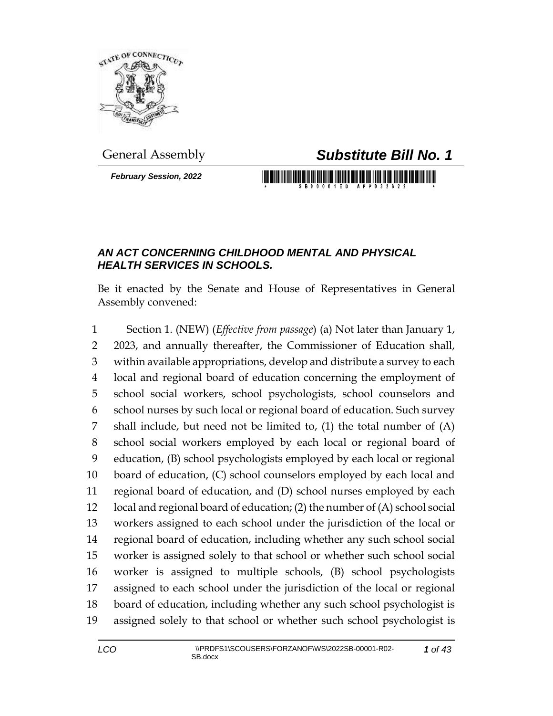

*February Session, 2022*

## General Assembly *Substitute Bill No. 1*

## *AN ACT CONCERNING CHILDHOOD MENTAL AND PHYSICAL HEALTH SERVICES IN SCHOOLS.*

Be it enacted by the Senate and House of Representatives in General Assembly convened:

 Section 1. (NEW) (*Effective from passage*) (a) Not later than January 1, 2023, and annually thereafter, the Commissioner of Education shall, within available appropriations, develop and distribute a survey to each local and regional board of education concerning the employment of school social workers, school psychologists, school counselors and school nurses by such local or regional board of education. Such survey shall include, but need not be limited to, (1) the total number of (A) school social workers employed by each local or regional board of education, (B) school psychologists employed by each local or regional board of education, (C) school counselors employed by each local and regional board of education, and (D) school nurses employed by each local and regional board of education; (2) the number of (A) school social workers assigned to each school under the jurisdiction of the local or regional board of education, including whether any such school social worker is assigned solely to that school or whether such school social worker is assigned to multiple schools, (B) school psychologists assigned to each school under the jurisdiction of the local or regional board of education, including whether any such school psychologist is assigned solely to that school or whether such school psychologist is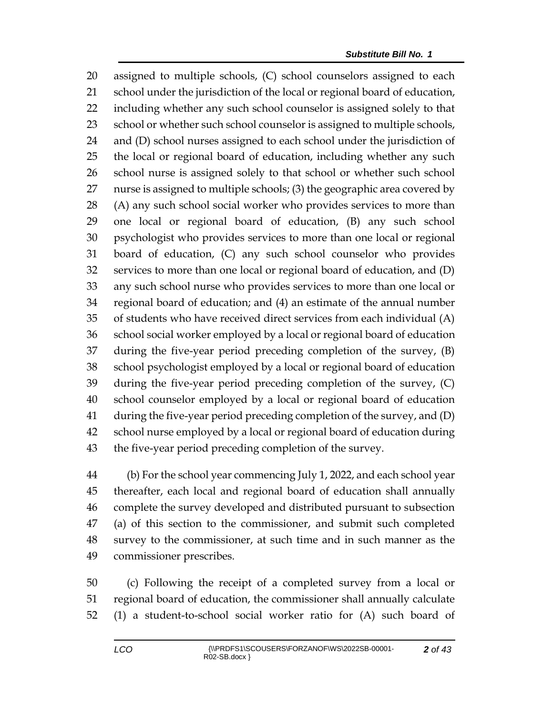assigned to multiple schools, (C) school counselors assigned to each school under the jurisdiction of the local or regional board of education, including whether any such school counselor is assigned solely to that 23 school or whether such school counselor is assigned to multiple schools, and (D) school nurses assigned to each school under the jurisdiction of the local or regional board of education, including whether any such school nurse is assigned solely to that school or whether such school nurse is assigned to multiple schools; (3) the geographic area covered by (A) any such school social worker who provides services to more than one local or regional board of education, (B) any such school psychologist who provides services to more than one local or regional board of education, (C) any such school counselor who provides services to more than one local or regional board of education, and (D) any such school nurse who provides services to more than one local or regional board of education; and (4) an estimate of the annual number of students who have received direct services from each individual (A) school social worker employed by a local or regional board of education during the five-year period preceding completion of the survey, (B) school psychologist employed by a local or regional board of education during the five-year period preceding completion of the survey, (C) school counselor employed by a local or regional board of education during the five-year period preceding completion of the survey, and (D) school nurse employed by a local or regional board of education during the five-year period preceding completion of the survey.

 (b) For the school year commencing July 1, 2022, and each school year thereafter, each local and regional board of education shall annually complete the survey developed and distributed pursuant to subsection (a) of this section to the commissioner, and submit such completed survey to the commissioner, at such time and in such manner as the commissioner prescribes.

 (c) Following the receipt of a completed survey from a local or regional board of education, the commissioner shall annually calculate (1) a student-to-school social worker ratio for (A) such board of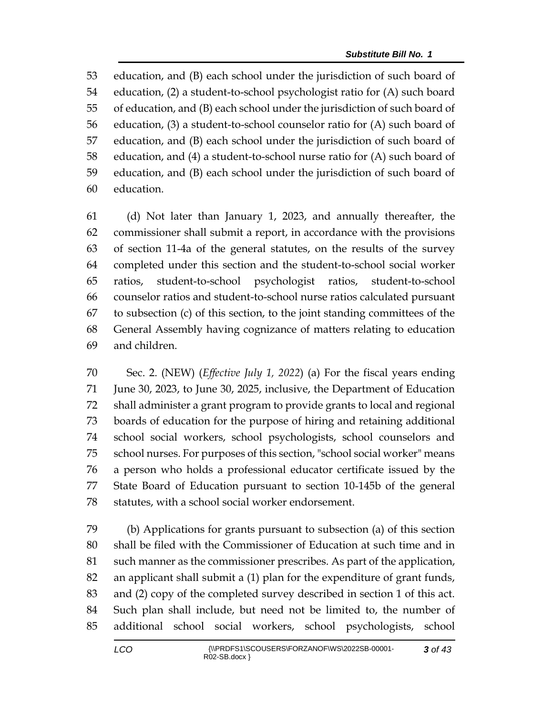education, and (B) each school under the jurisdiction of such board of education, (2) a student-to-school psychologist ratio for (A) such board of education, and (B) each school under the jurisdiction of such board of education, (3) a student-to-school counselor ratio for (A) such board of education, and (B) each school under the jurisdiction of such board of education, and (4) a student-to-school nurse ratio for (A) such board of education, and (B) each school under the jurisdiction of such board of education.

 (d) Not later than January 1, 2023, and annually thereafter, the commissioner shall submit a report, in accordance with the provisions of section 11-4a of the general statutes, on the results of the survey completed under this section and the student-to-school social worker ratios, student-to-school psychologist ratios, student-to-school counselor ratios and student-to-school nurse ratios calculated pursuant to subsection (c) of this section, to the joint standing committees of the General Assembly having cognizance of matters relating to education and children.

 Sec. 2. (NEW) (*Effective July 1, 2022*) (a) For the fiscal years ending June 30, 2023, to June 30, 2025, inclusive, the Department of Education shall administer a grant program to provide grants to local and regional boards of education for the purpose of hiring and retaining additional school social workers, school psychologists, school counselors and school nurses. For purposes of this section, "school social worker" means a person who holds a professional educator certificate issued by the State Board of Education pursuant to section 10-145b of the general statutes, with a school social worker endorsement.

 (b) Applications for grants pursuant to subsection (a) of this section shall be filed with the Commissioner of Education at such time and in such manner as the commissioner prescribes. As part of the application, an applicant shall submit a (1) plan for the expenditure of grant funds, and (2) copy of the completed survey described in section 1 of this act. Such plan shall include, but need not be limited to, the number of additional school social workers, school psychologists, school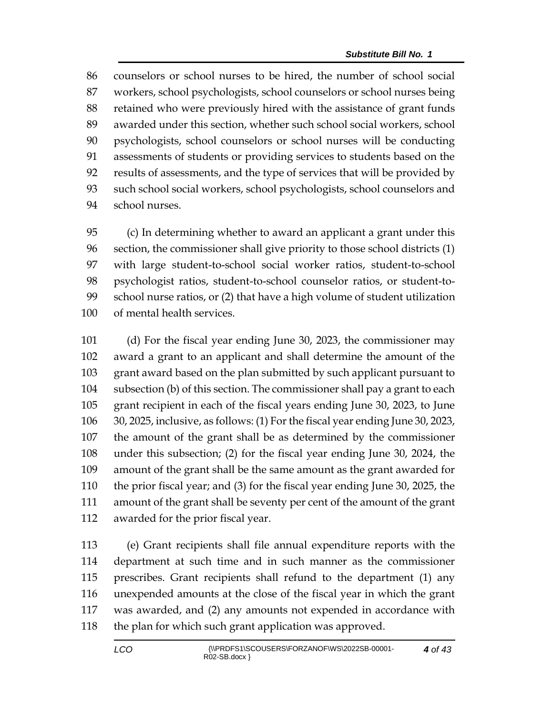counselors or school nurses to be hired, the number of school social workers, school psychologists, school counselors or school nurses being retained who were previously hired with the assistance of grant funds awarded under this section, whether such school social workers, school psychologists, school counselors or school nurses will be conducting assessments of students or providing services to students based on the results of assessments, and the type of services that will be provided by such school social workers, school psychologists, school counselors and school nurses.

 (c) In determining whether to award an applicant a grant under this section, the commissioner shall give priority to those school districts (1) with large student-to-school social worker ratios, student-to-school psychologist ratios, student-to-school counselor ratios, or student-to- school nurse ratios, or (2) that have a high volume of student utilization of mental health services.

 (d) For the fiscal year ending June 30, 2023, the commissioner may award a grant to an applicant and shall determine the amount of the grant award based on the plan submitted by such applicant pursuant to subsection (b) of this section. The commissioner shall pay a grant to each grant recipient in each of the fiscal years ending June 30, 2023, to June 30, 2025, inclusive, as follows: (1) For the fiscal year ending June 30, 2023, the amount of the grant shall be as determined by the commissioner under this subsection; (2) for the fiscal year ending June 30, 2024, the amount of the grant shall be the same amount as the grant awarded for the prior fiscal year; and (3) for the fiscal year ending June 30, 2025, the amount of the grant shall be seventy per cent of the amount of the grant awarded for the prior fiscal year.

 (e) Grant recipients shall file annual expenditure reports with the department at such time and in such manner as the commissioner prescribes. Grant recipients shall refund to the department (1) any unexpended amounts at the close of the fiscal year in which the grant was awarded, and (2) any amounts not expended in accordance with 118 the plan for which such grant application was approved.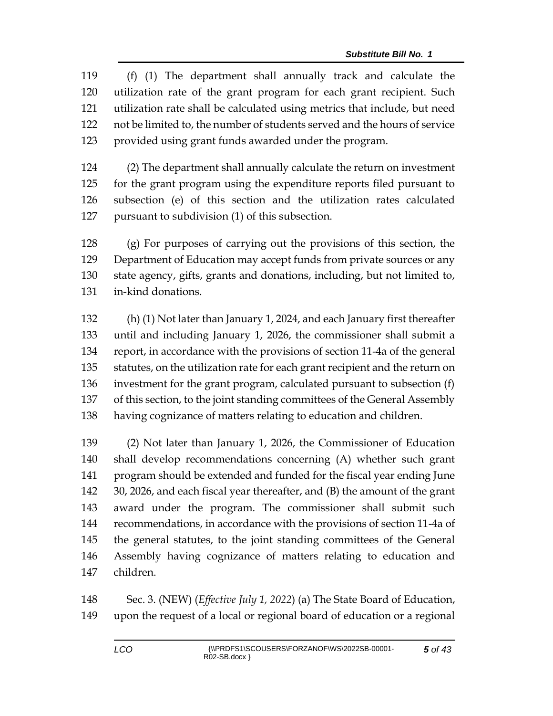(f) (1) The department shall annually track and calculate the utilization rate of the grant program for each grant recipient. Such utilization rate shall be calculated using metrics that include, but need not be limited to, the number of students served and the hours of service provided using grant funds awarded under the program.

 (2) The department shall annually calculate the return on investment for the grant program using the expenditure reports filed pursuant to subsection (e) of this section and the utilization rates calculated pursuant to subdivision (1) of this subsection.

 (g) For purposes of carrying out the provisions of this section, the Department of Education may accept funds from private sources or any state agency, gifts, grants and donations, including, but not limited to, in-kind donations.

 (h) (1) Not later than January 1, 2024, and each January first thereafter until and including January 1, 2026, the commissioner shall submit a report, in accordance with the provisions of section 11-4a of the general statutes, on the utilization rate for each grant recipient and the return on investment for the grant program, calculated pursuant to subsection (f) of this section, to the joint standing committees of the General Assembly having cognizance of matters relating to education and children.

 (2) Not later than January 1, 2026, the Commissioner of Education shall develop recommendations concerning (A) whether such grant program should be extended and funded for the fiscal year ending June 30, 2026, and each fiscal year thereafter, and (B) the amount of the grant award under the program. The commissioner shall submit such recommendations, in accordance with the provisions of section 11-4a of the general statutes, to the joint standing committees of the General Assembly having cognizance of matters relating to education and children.

 Sec. 3. (NEW) (*Effective July 1, 2022*) (a) The State Board of Education, upon the request of a local or regional board of education or a regional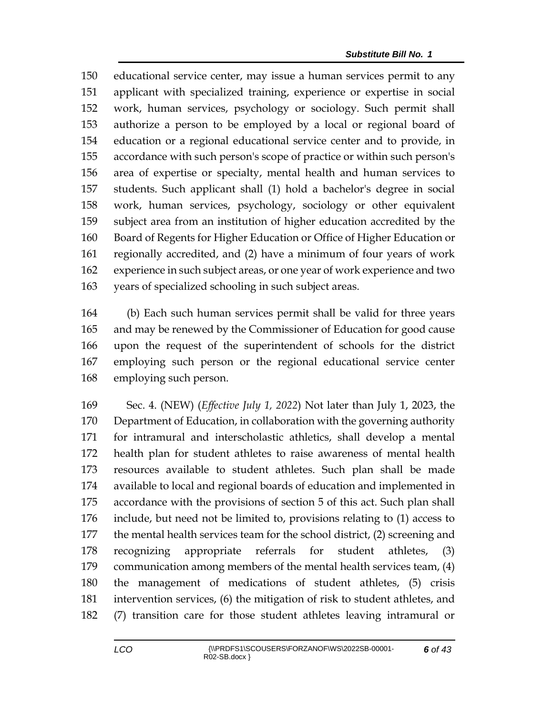educational service center, may issue a human services permit to any applicant with specialized training, experience or expertise in social work, human services, psychology or sociology. Such permit shall authorize a person to be employed by a local or regional board of education or a regional educational service center and to provide, in accordance with such person's scope of practice or within such person's area of expertise or specialty, mental health and human services to students. Such applicant shall (1) hold a bachelor's degree in social work, human services, psychology, sociology or other equivalent subject area from an institution of higher education accredited by the Board of Regents for Higher Education or Office of Higher Education or regionally accredited, and (2) have a minimum of four years of work experience in such subject areas, or one year of work experience and two years of specialized schooling in such subject areas.

 (b) Each such human services permit shall be valid for three years and may be renewed by the Commissioner of Education for good cause upon the request of the superintendent of schools for the district employing such person or the regional educational service center employing such person.

 Sec. 4. (NEW) (*Effective July 1, 2022*) Not later than July 1, 2023, the Department of Education, in collaboration with the governing authority for intramural and interscholastic athletics, shall develop a mental health plan for student athletes to raise awareness of mental health resources available to student athletes. Such plan shall be made available to local and regional boards of education and implemented in accordance with the provisions of section 5 of this act. Such plan shall include, but need not be limited to, provisions relating to (1) access to the mental health services team for the school district, (2) screening and recognizing appropriate referrals for student athletes, (3) communication among members of the mental health services team, (4) the management of medications of student athletes, (5) crisis intervention services, (6) the mitigation of risk to student athletes, and (7) transition care for those student athletes leaving intramural or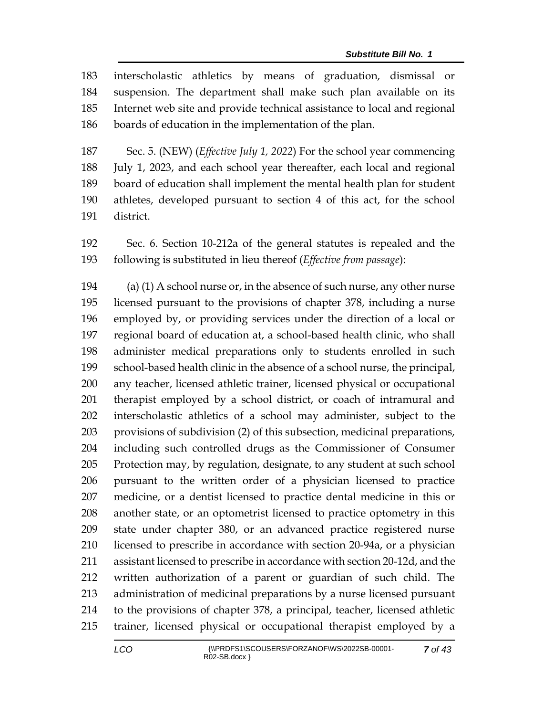interscholastic athletics by means of graduation, dismissal or suspension. The department shall make such plan available on its Internet web site and provide technical assistance to local and regional boards of education in the implementation of the plan.

 Sec. 5. (NEW) (*Effective July 1, 2022*) For the school year commencing July 1, 2023, and each school year thereafter, each local and regional board of education shall implement the mental health plan for student athletes, developed pursuant to section 4 of this act, for the school district.

 Sec. 6. Section 10-212a of the general statutes is repealed and the following is substituted in lieu thereof (*Effective from passage*):

194 (a) (1) A school nurse or, in the absence of such nurse, any other nurse licensed pursuant to the provisions of chapter 378, including a nurse employed by, or providing services under the direction of a local or regional board of education at, a school-based health clinic, who shall administer medical preparations only to students enrolled in such school-based health clinic in the absence of a school nurse, the principal, any teacher, licensed athletic trainer, licensed physical or occupational therapist employed by a school district, or coach of intramural and interscholastic athletics of a school may administer, subject to the provisions of subdivision (2) of this subsection, medicinal preparations, including such controlled drugs as the Commissioner of Consumer Protection may, by regulation, designate, to any student at such school pursuant to the written order of a physician licensed to practice medicine, or a dentist licensed to practice dental medicine in this or another state, or an optometrist licensed to practice optometry in this state under chapter 380, or an advanced practice registered nurse licensed to prescribe in accordance with section 20-94a, or a physician assistant licensed to prescribe in accordance with section 20-12d, and the written authorization of a parent or guardian of such child. The administration of medicinal preparations by a nurse licensed pursuant to the provisions of chapter 378, a principal, teacher, licensed athletic trainer, licensed physical or occupational therapist employed by a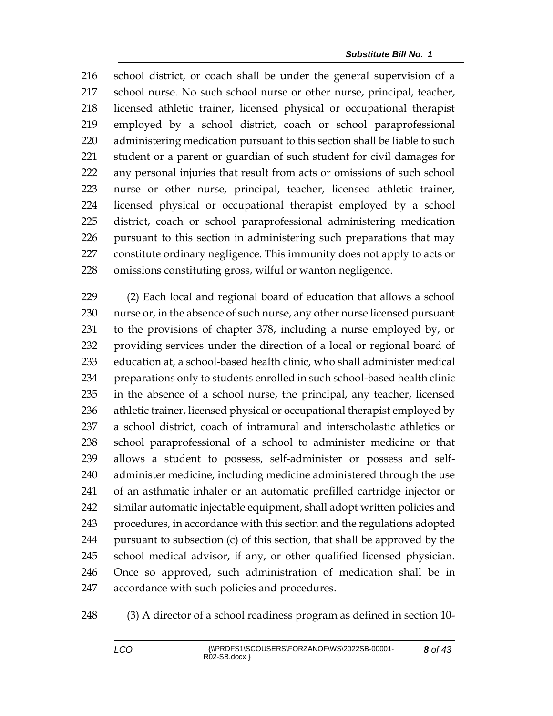school district, or coach shall be under the general supervision of a school nurse. No such school nurse or other nurse, principal, teacher, licensed athletic trainer, licensed physical or occupational therapist employed by a school district, coach or school paraprofessional administering medication pursuant to this section shall be liable to such student or a parent or guardian of such student for civil damages for any personal injuries that result from acts or omissions of such school nurse or other nurse, principal, teacher, licensed athletic trainer, licensed physical or occupational therapist employed by a school district, coach or school paraprofessional administering medication pursuant to this section in administering such preparations that may constitute ordinary negligence. This immunity does not apply to acts or omissions constituting gross, wilful or wanton negligence.

 (2) Each local and regional board of education that allows a school nurse or, in the absence of such nurse, any other nurse licensed pursuant to the provisions of chapter 378, including a nurse employed by, or providing services under the direction of a local or regional board of education at, a school-based health clinic, who shall administer medical preparations only to students enrolled in such school-based health clinic in the absence of a school nurse, the principal, any teacher, licensed athletic trainer, licensed physical or occupational therapist employed by a school district, coach of intramural and interscholastic athletics or school paraprofessional of a school to administer medicine or that allows a student to possess, self-administer or possess and self- administer medicine, including medicine administered through the use of an asthmatic inhaler or an automatic prefilled cartridge injector or similar automatic injectable equipment, shall adopt written policies and procedures, in accordance with this section and the regulations adopted pursuant to subsection (c) of this section, that shall be approved by the school medical advisor, if any, or other qualified licensed physician. Once so approved, such administration of medication shall be in accordance with such policies and procedures.

(3) A director of a school readiness program as defined in section 10-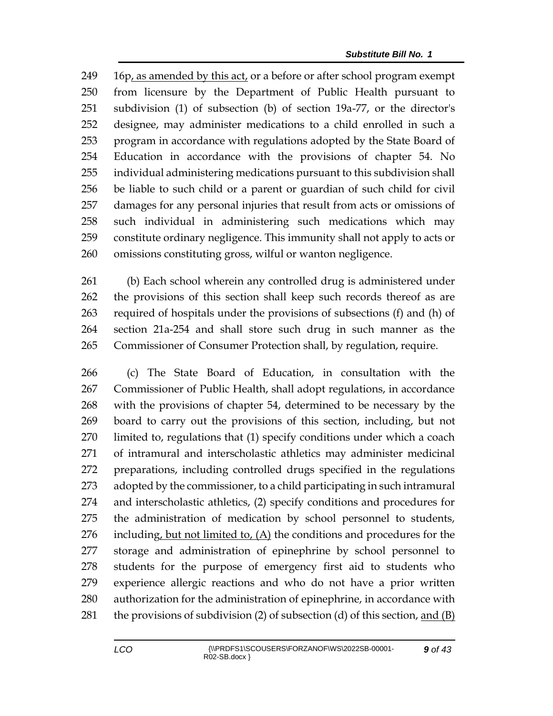16p, as amended by this act, or a before or after school program exempt from licensure by the Department of Public Health pursuant to subdivision (1) of subsection (b) of section 19a-77, or the director's designee, may administer medications to a child enrolled in such a program in accordance with regulations adopted by the State Board of Education in accordance with the provisions of chapter 54. No individual administering medications pursuant to this subdivision shall be liable to such child or a parent or guardian of such child for civil damages for any personal injuries that result from acts or omissions of such individual in administering such medications which may constitute ordinary negligence. This immunity shall not apply to acts or omissions constituting gross, wilful or wanton negligence.

 (b) Each school wherein any controlled drug is administered under the provisions of this section shall keep such records thereof as are required of hospitals under the provisions of subsections (f) and (h) of section 21a-254 and shall store such drug in such manner as the Commissioner of Consumer Protection shall, by regulation, require.

 (c) The State Board of Education, in consultation with the Commissioner of Public Health, shall adopt regulations, in accordance with the provisions of chapter 54, determined to be necessary by the board to carry out the provisions of this section, including, but not limited to, regulations that (1) specify conditions under which a coach of intramural and interscholastic athletics may administer medicinal preparations, including controlled drugs specified in the regulations adopted by the commissioner, to a child participating in such intramural and interscholastic athletics, (2) specify conditions and procedures for the administration of medication by school personnel to students, 276 including, but not limited to,  $(A)$  the conditions and procedures for the storage and administration of epinephrine by school personnel to students for the purpose of emergency first aid to students who experience allergic reactions and who do not have a prior written authorization for the administration of epinephrine, in accordance with 281 the provisions of subdivision (2) of subsection (d) of this section, and  $(B)$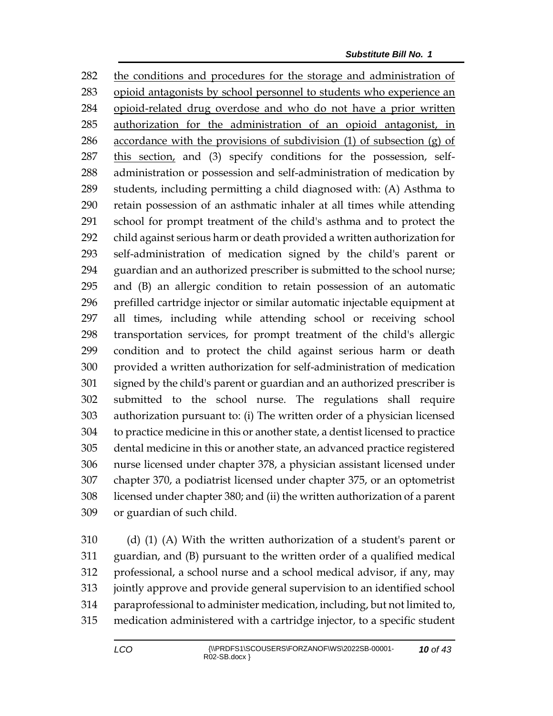the conditions and procedures for the storage and administration of opioid antagonists by school personnel to students who experience an opioid-related drug overdose and who do not have a prior written authorization for the administration of an opioid antagonist, in 286 accordance with the provisions of subdivision  $(1)$  of subsection  $(g)$  of 287 this section, and (3) specify conditions for the possession, self- administration or possession and self-administration of medication by students, including permitting a child diagnosed with: (A) Asthma to retain possession of an asthmatic inhaler at all times while attending school for prompt treatment of the child's asthma and to protect the child against serious harm or death provided a written authorization for self-administration of medication signed by the child's parent or guardian and an authorized prescriber is submitted to the school nurse; and (B) an allergic condition to retain possession of an automatic prefilled cartridge injector or similar automatic injectable equipment at all times, including while attending school or receiving school transportation services, for prompt treatment of the child's allergic condition and to protect the child against serious harm or death provided a written authorization for self-administration of medication signed by the child's parent or guardian and an authorized prescriber is submitted to the school nurse. The regulations shall require authorization pursuant to: (i) The written order of a physician licensed to practice medicine in this or another state, a dentist licensed to practice dental medicine in this or another state, an advanced practice registered nurse licensed under chapter 378, a physician assistant licensed under chapter 370, a podiatrist licensed under chapter 375, or an optometrist licensed under chapter 380; and (ii) the written authorization of a parent or guardian of such child.

 (d) (1) (A) With the written authorization of a student's parent or guardian, and (B) pursuant to the written order of a qualified medical professional, a school nurse and a school medical advisor, if any, may jointly approve and provide general supervision to an identified school paraprofessional to administer medication, including, but not limited to, medication administered with a cartridge injector, to a specific student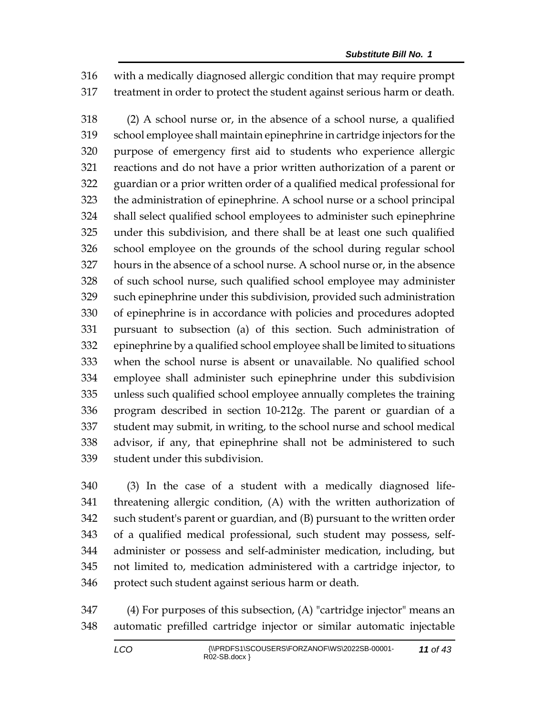with a medically diagnosed allergic condition that may require prompt treatment in order to protect the student against serious harm or death.

 (2) A school nurse or, in the absence of a school nurse, a qualified school employee shall maintain epinephrine in cartridge injectors for the purpose of emergency first aid to students who experience allergic reactions and do not have a prior written authorization of a parent or guardian or a prior written order of a qualified medical professional for the administration of epinephrine. A school nurse or a school principal shall select qualified school employees to administer such epinephrine under this subdivision, and there shall be at least one such qualified school employee on the grounds of the school during regular school hours in the absence of a school nurse. A school nurse or, in the absence of such school nurse, such qualified school employee may administer such epinephrine under this subdivision, provided such administration of epinephrine is in accordance with policies and procedures adopted pursuant to subsection (a) of this section. Such administration of epinephrine by a qualified school employee shall be limited to situations when the school nurse is absent or unavailable. No qualified school employee shall administer such epinephrine under this subdivision unless such qualified school employee annually completes the training program described in section 10-212g. The parent or guardian of a student may submit, in writing, to the school nurse and school medical advisor, if any, that epinephrine shall not be administered to such student under this subdivision.

 (3) In the case of a student with a medically diagnosed life- threatening allergic condition, (A) with the written authorization of such student's parent or guardian, and (B) pursuant to the written order of a qualified medical professional, such student may possess, self- administer or possess and self-administer medication, including, but not limited to, medication administered with a cartridge injector, to protect such student against serious harm or death.

 (4) For purposes of this subsection, (A) "cartridge injector" means an automatic prefilled cartridge injector or similar automatic injectable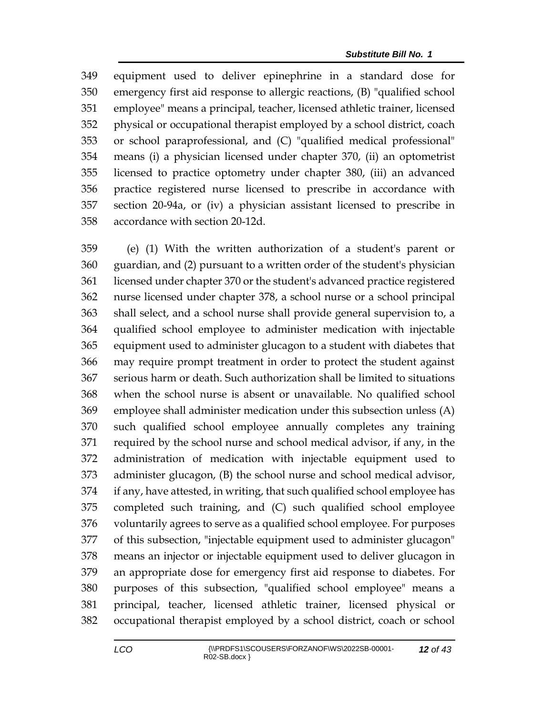equipment used to deliver epinephrine in a standard dose for emergency first aid response to allergic reactions, (B) "qualified school employee" means a principal, teacher, licensed athletic trainer, licensed physical or occupational therapist employed by a school district, coach or school paraprofessional, and (C) "qualified medical professional" means (i) a physician licensed under chapter 370, (ii) an optometrist licensed to practice optometry under chapter 380, (iii) an advanced practice registered nurse licensed to prescribe in accordance with section 20-94a, or (iv) a physician assistant licensed to prescribe in accordance with section 20-12d.

 (e) (1) With the written authorization of a student's parent or guardian, and (2) pursuant to a written order of the student's physician licensed under chapter 370 or the student's advanced practice registered nurse licensed under chapter 378, a school nurse or a school principal shall select, and a school nurse shall provide general supervision to, a qualified school employee to administer medication with injectable equipment used to administer glucagon to a student with diabetes that may require prompt treatment in order to protect the student against serious harm or death. Such authorization shall be limited to situations when the school nurse is absent or unavailable. No qualified school employee shall administer medication under this subsection unless (A) such qualified school employee annually completes any training required by the school nurse and school medical advisor, if any, in the administration of medication with injectable equipment used to administer glucagon, (B) the school nurse and school medical advisor, if any, have attested, in writing, that such qualified school employee has completed such training, and (C) such qualified school employee voluntarily agrees to serve as a qualified school employee. For purposes of this subsection, "injectable equipment used to administer glucagon" means an injector or injectable equipment used to deliver glucagon in an appropriate dose for emergency first aid response to diabetes. For purposes of this subsection, "qualified school employee" means a principal, teacher, licensed athletic trainer, licensed physical or occupational therapist employed by a school district, coach or school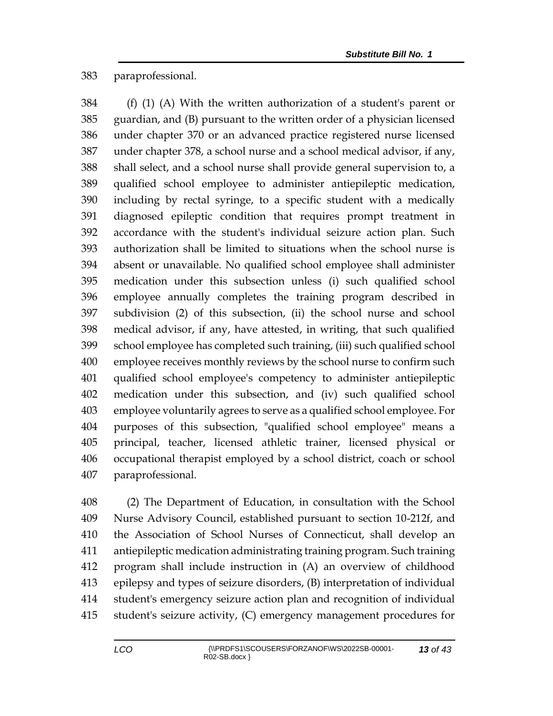## paraprofessional.

 (f) (1) (A) With the written authorization of a student's parent or guardian, and (B) pursuant to the written order of a physician licensed under chapter 370 or an advanced practice registered nurse licensed under chapter 378, a school nurse and a school medical advisor, if any, shall select, and a school nurse shall provide general supervision to, a qualified school employee to administer antiepileptic medication, including by rectal syringe, to a specific student with a medically diagnosed epileptic condition that requires prompt treatment in accordance with the student's individual seizure action plan. Such authorization shall be limited to situations when the school nurse is absent or unavailable. No qualified school employee shall administer medication under this subsection unless (i) such qualified school employee annually completes the training program described in subdivision (2) of this subsection, (ii) the school nurse and school medical advisor, if any, have attested, in writing, that such qualified school employee has completed such training, (iii) such qualified school employee receives monthly reviews by the school nurse to confirm such qualified school employee's competency to administer antiepileptic medication under this subsection, and (iv) such qualified school employee voluntarily agrees to serve as a qualified school employee. For purposes of this subsection, "qualified school employee" means a principal, teacher, licensed athletic trainer, licensed physical or occupational therapist employed by a school district, coach or school paraprofessional.

 (2) The Department of Education, in consultation with the School Nurse Advisory Council, established pursuant to section 10-212f, and the Association of School Nurses of Connecticut, shall develop an antiepileptic medication administrating training program. Such training program shall include instruction in (A) an overview of childhood epilepsy and types of seizure disorders, (B) interpretation of individual student's emergency seizure action plan and recognition of individual student's seizure activity, (C) emergency management procedures for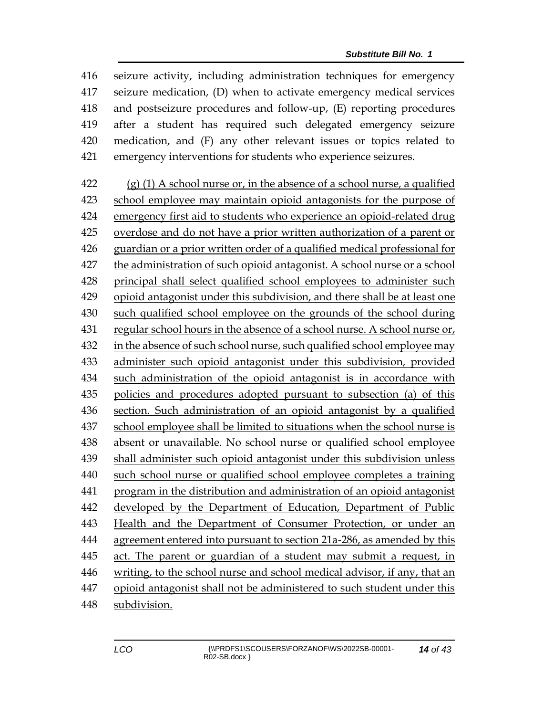seizure activity, including administration techniques for emergency seizure medication, (D) when to activate emergency medical services and postseizure procedures and follow-up, (E) reporting procedures after a student has required such delegated emergency seizure medication, and (F) any other relevant issues or topics related to emergency interventions for students who experience seizures.

 (g) (1) A school nurse or, in the absence of a school nurse, a qualified school employee may maintain opioid antagonists for the purpose of emergency first aid to students who experience an opioid-related drug overdose and do not have a prior written authorization of a parent or guardian or a prior written order of a qualified medical professional for the administration of such opioid antagonist. A school nurse or a school principal shall select qualified school employees to administer such opioid antagonist under this subdivision, and there shall be at least one such qualified school employee on the grounds of the school during regular school hours in the absence of a school nurse. A school nurse or, 432 in the absence of such school nurse, such qualified school employee may administer such opioid antagonist under this subdivision, provided such administration of the opioid antagonist is in accordance with policies and procedures adopted pursuant to subsection (a) of this section. Such administration of an opioid antagonist by a qualified school employee shall be limited to situations when the school nurse is absent or unavailable. No school nurse or qualified school employee shall administer such opioid antagonist under this subdivision unless such school nurse or qualified school employee completes a training program in the distribution and administration of an opioid antagonist developed by the Department of Education, Department of Public Health and the Department of Consumer Protection, or under an agreement entered into pursuant to section 21a-286, as amended by this act. The parent or guardian of a student may submit a request, in writing, to the school nurse and school medical advisor, if any, that an opioid antagonist shall not be administered to such student under this subdivision.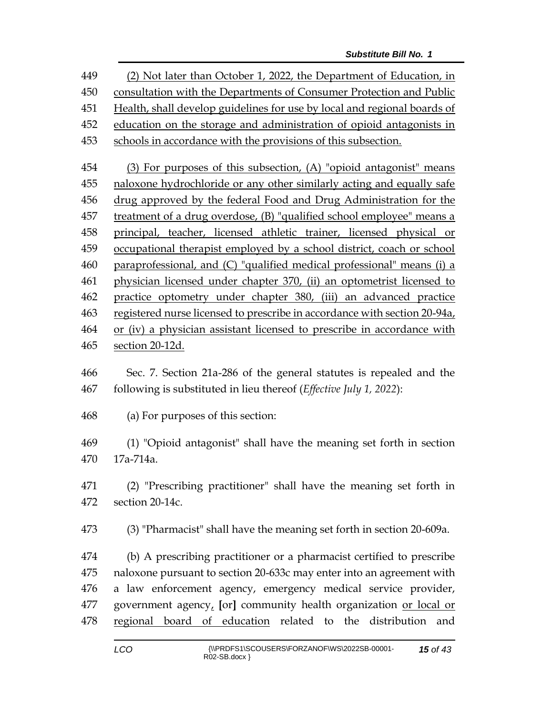(2) Not later than October 1, 2022, the Department of Education, in consultation with the Departments of Consumer Protection and Public Health, shall develop guidelines for use by local and regional boards of education on the storage and administration of opioid antagonists in schools in accordance with the provisions of this subsection. (3) For purposes of this subsection, (A) "opioid antagonist" means naloxone hydrochloride or any other similarly acting and equally safe drug approved by the federal Food and Drug Administration for the treatment of a drug overdose, (B) "qualified school employee" means a principal, teacher, licensed athletic trainer, licensed physical or occupational therapist employed by a school district, coach or school paraprofessional, and (C) "qualified medical professional" means (i) a physician licensed under chapter 370, (ii) an optometrist licensed to practice optometry under chapter 380, (iii) an advanced practice registered nurse licensed to prescribe in accordance with section 20-94a, or (iv) a physician assistant licensed to prescribe in accordance with section 20-12d. Sec. 7. Section 21a-286 of the general statutes is repealed and the following is substituted in lieu thereof (*Effective July 1, 2022*): (a) For purposes of this section: (1) "Opioid antagonist" shall have the meaning set forth in section

17a-714a.

 (2) "Prescribing practitioner" shall have the meaning set forth in section 20-14c.

(3) "Pharmacist" shall have the meaning set forth in section 20-609a.

 (b) A prescribing practitioner or a pharmacist certified to prescribe naloxone pursuant to section 20-633c may enter into an agreement with a law enforcement agency, emergency medical service provider, government agency, **[**or**]** community health organization or local or regional board of education related to the distribution and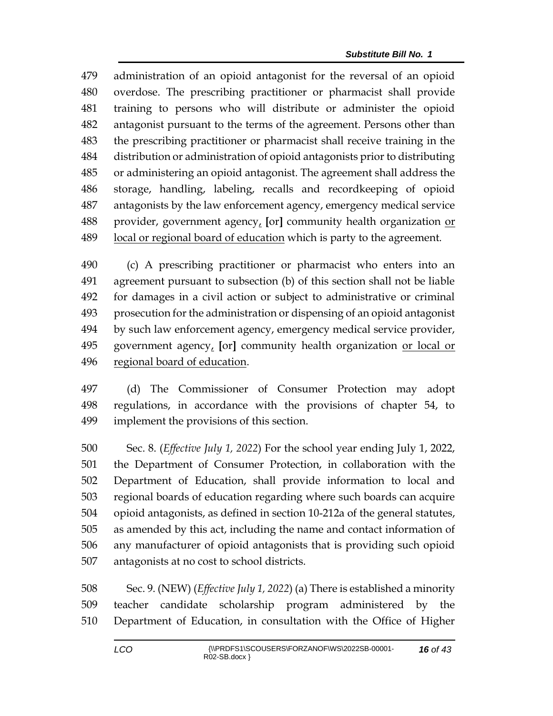administration of an opioid antagonist for the reversal of an opioid overdose. The prescribing practitioner or pharmacist shall provide training to persons who will distribute or administer the opioid antagonist pursuant to the terms of the agreement. Persons other than the prescribing practitioner or pharmacist shall receive training in the distribution or administration of opioid antagonists prior to distributing or administering an opioid antagonist. The agreement shall address the storage, handling, labeling, recalls and recordkeeping of opioid antagonists by the law enforcement agency, emergency medical service provider, government agency, **[**or**]** community health organization or local or regional board of education which is party to the agreement.

 (c) A prescribing practitioner or pharmacist who enters into an agreement pursuant to subsection (b) of this section shall not be liable for damages in a civil action or subject to administrative or criminal prosecution for the administration or dispensing of an opioid antagonist by such law enforcement agency, emergency medical service provider, government agency, **[**or**]** community health organization or local or regional board of education.

 (d) The Commissioner of Consumer Protection may adopt regulations, in accordance with the provisions of chapter 54, to implement the provisions of this section.

 Sec. 8. (*Effective July 1, 2022*) For the school year ending July 1, 2022, the Department of Consumer Protection, in collaboration with the Department of Education, shall provide information to local and regional boards of education regarding where such boards can acquire opioid antagonists, as defined in section 10-212a of the general statutes, as amended by this act, including the name and contact information of any manufacturer of opioid antagonists that is providing such opioid antagonists at no cost to school districts.

 Sec. 9. (NEW) (*Effective July 1, 2022*) (a) There is established a minority teacher candidate scholarship program administered by the Department of Education, in consultation with the Office of Higher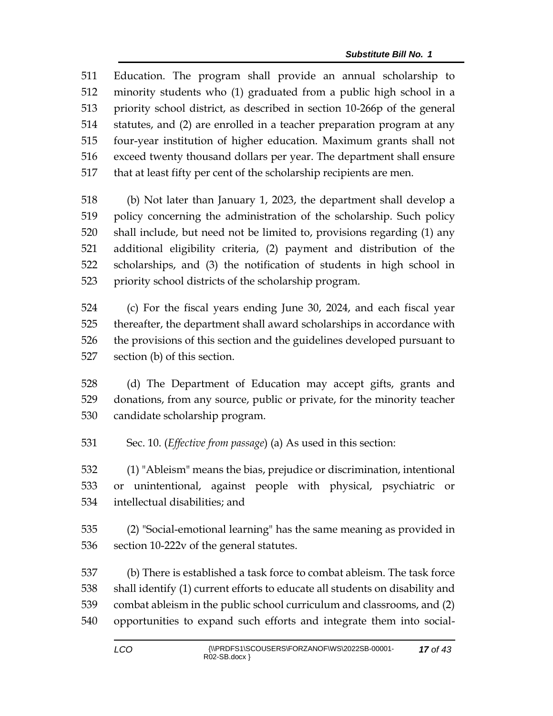Education. The program shall provide an annual scholarship to minority students who (1) graduated from a public high school in a priority school district, as described in section 10-266p of the general statutes, and (2) are enrolled in a teacher preparation program at any four-year institution of higher education. Maximum grants shall not exceed twenty thousand dollars per year. The department shall ensure that at least fifty per cent of the scholarship recipients are men.

 (b) Not later than January 1, 2023, the department shall develop a policy concerning the administration of the scholarship. Such policy shall include, but need not be limited to, provisions regarding (1) any additional eligibility criteria, (2) payment and distribution of the scholarships, and (3) the notification of students in high school in priority school districts of the scholarship program.

 (c) For the fiscal years ending June 30, 2024, and each fiscal year thereafter, the department shall award scholarships in accordance with the provisions of this section and the guidelines developed pursuant to section (b) of this section.

 (d) The Department of Education may accept gifts, grants and donations, from any source, public or private, for the minority teacher candidate scholarship program.

Sec. 10. (*Effective from passage*) (a) As used in this section:

 (1) "Ableism" means the bias, prejudice or discrimination, intentional or unintentional, against people with physical, psychiatric or intellectual disabilities; and

 (2) "Social-emotional learning" has the same meaning as provided in section 10-222v of the general statutes.

 (b) There is established a task force to combat ableism. The task force shall identify (1) current efforts to educate all students on disability and combat ableism in the public school curriculum and classrooms, and (2) opportunities to expand such efforts and integrate them into social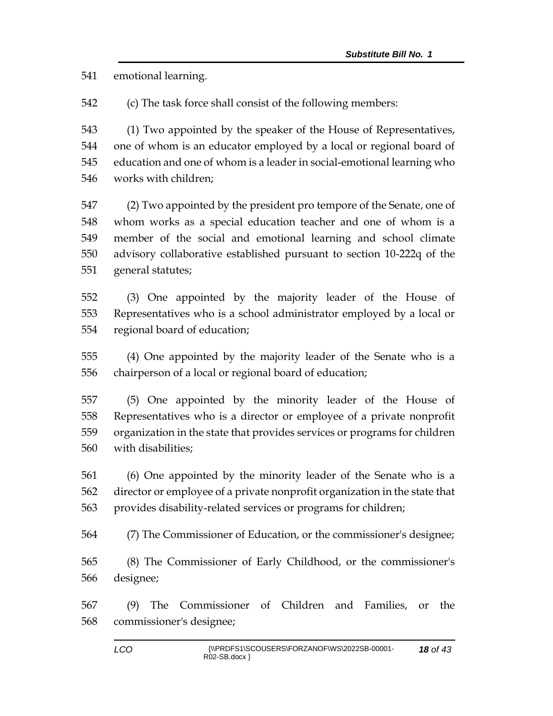emotional learning.

(c) The task force shall consist of the following members:

 (1) Two appointed by the speaker of the House of Representatives, one of whom is an educator employed by a local or regional board of education and one of whom is a leader in social-emotional learning who works with children;

 (2) Two appointed by the president pro tempore of the Senate, one of whom works as a special education teacher and one of whom is a member of the social and emotional learning and school climate advisory collaborative established pursuant to section 10-222q of the general statutes;

 (3) One appointed by the majority leader of the House of Representatives who is a school administrator employed by a local or regional board of education;

 (4) One appointed by the majority leader of the Senate who is a chairperson of a local or regional board of education;

 (5) One appointed by the minority leader of the House of Representatives who is a director or employee of a private nonprofit organization in the state that provides services or programs for children with disabilities;

 (6) One appointed by the minority leader of the Senate who is a director or employee of a private nonprofit organization in the state that provides disability-related services or programs for children;

(7) The Commissioner of Education, or the commissioner's designee;

 (8) The Commissioner of Early Childhood, or the commissioner's designee;

 (9) The Commissioner of Children and Families, or the commissioner's designee;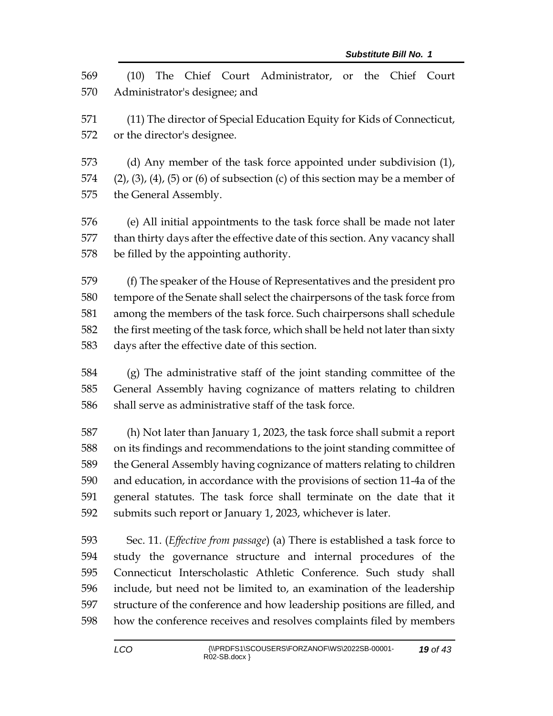(10) The Chief Court Administrator, or the Chief Court Administrator's designee; and (11) The director of Special Education Equity for Kids of Connecticut, or the director's designee. (d) Any member of the task force appointed under subdivision (1), 574 (2), (3), (4), (5) or (6) of subsection (c) of this section may be a member of the General Assembly. (e) All initial appointments to the task force shall be made not later than thirty days after the effective date of this section. Any vacancy shall be filled by the appointing authority. (f) The speaker of the House of Representatives and the president pro tempore of the Senate shall select the chairpersons of the task force from among the members of the task force. Such chairpersons shall schedule the first meeting of the task force, which shall be held not later than sixty days after the effective date of this section. (g) The administrative staff of the joint standing committee of the General Assembly having cognizance of matters relating to children shall serve as administrative staff of the task force. (h) Not later than January 1, 2023, the task force shall submit a report on its findings and recommendations to the joint standing committee of the General Assembly having cognizance of matters relating to children and education, in accordance with the provisions of section 11-4a of the general statutes. The task force shall terminate on the date that it submits such report or January 1, 2023, whichever is later. Sec. 11. (*Effective from passage*) (a) There is established a task force to study the governance structure and internal procedures of the Connecticut Interscholastic Athletic Conference. Such study shall include, but need not be limited to, an examination of the leadership structure of the conference and how leadership positions are filled, and

how the conference receives and resolves complaints filed by members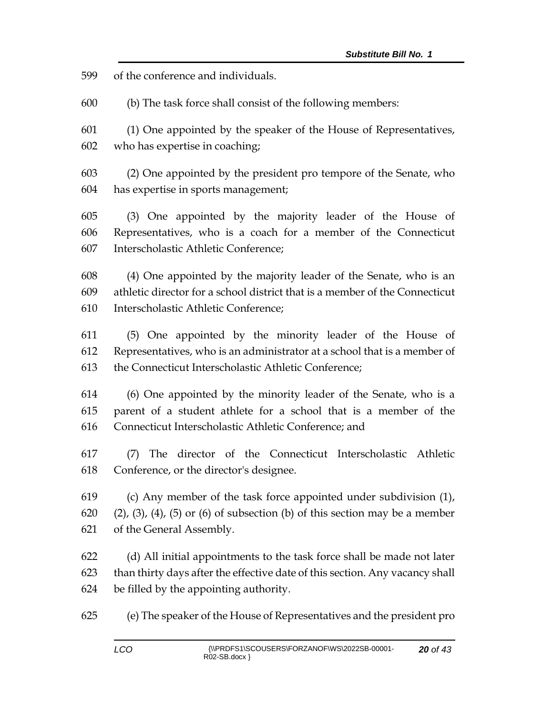of the conference and individuals.

(b) The task force shall consist of the following members:

 (1) One appointed by the speaker of the House of Representatives, who has expertise in coaching;

 (2) One appointed by the president pro tempore of the Senate, who has expertise in sports management;

 (3) One appointed by the majority leader of the House of Representatives, who is a coach for a member of the Connecticut Interscholastic Athletic Conference;

 (4) One appointed by the majority leader of the Senate, who is an athletic director for a school district that is a member of the Connecticut Interscholastic Athletic Conference;

 (5) One appointed by the minority leader of the House of Representatives, who is an administrator at a school that is a member of the Connecticut Interscholastic Athletic Conference;

 (6) One appointed by the minority leader of the Senate, who is a parent of a student athlete for a school that is a member of the Connecticut Interscholastic Athletic Conference; and

 (7) The director of the Connecticut Interscholastic Athletic Conference, or the director's designee.

 (c) Any member of the task force appointed under subdivision (1), (2), (3), (4), (5) or (6) of subsection (b) of this section may be a member of the General Assembly.

 (d) All initial appointments to the task force shall be made not later than thirty days after the effective date of this section. Any vacancy shall be filled by the appointing authority.

(e) The speaker of the House of Representatives and the president pro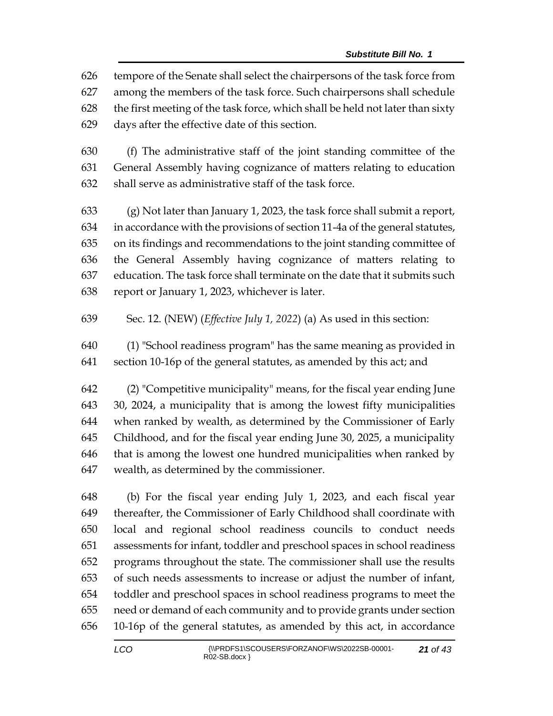tempore of the Senate shall select the chairpersons of the task force from among the members of the task force. Such chairpersons shall schedule the first meeting of the task force, which shall be held not later than sixty days after the effective date of this section.

 (f) The administrative staff of the joint standing committee of the General Assembly having cognizance of matters relating to education shall serve as administrative staff of the task force.

 (g) Not later than January 1, 2023, the task force shall submit a report, in accordance with the provisions of section 11-4a of the general statutes, on its findings and recommendations to the joint standing committee of the General Assembly having cognizance of matters relating to education. The task force shall terminate on the date that it submits such report or January 1, 2023, whichever is later.

- Sec. 12. (NEW) (*Effective July 1, 2022*) (a) As used in this section:
- (1) "School readiness program" has the same meaning as provided in section 10-16p of the general statutes, as amended by this act; and

 (2) "Competitive municipality" means, for the fiscal year ending June 30, 2024, a municipality that is among the lowest fifty municipalities when ranked by wealth, as determined by the Commissioner of Early Childhood, and for the fiscal year ending June 30, 2025, a municipality that is among the lowest one hundred municipalities when ranked by wealth, as determined by the commissioner.

 (b) For the fiscal year ending July 1, 2023, and each fiscal year thereafter, the Commissioner of Early Childhood shall coordinate with local and regional school readiness councils to conduct needs assessments for infant, toddler and preschool spaces in school readiness programs throughout the state. The commissioner shall use the results of such needs assessments to increase or adjust the number of infant, toddler and preschool spaces in school readiness programs to meet the need or demand of each community and to provide grants under section 10-16p of the general statutes, as amended by this act, in accordance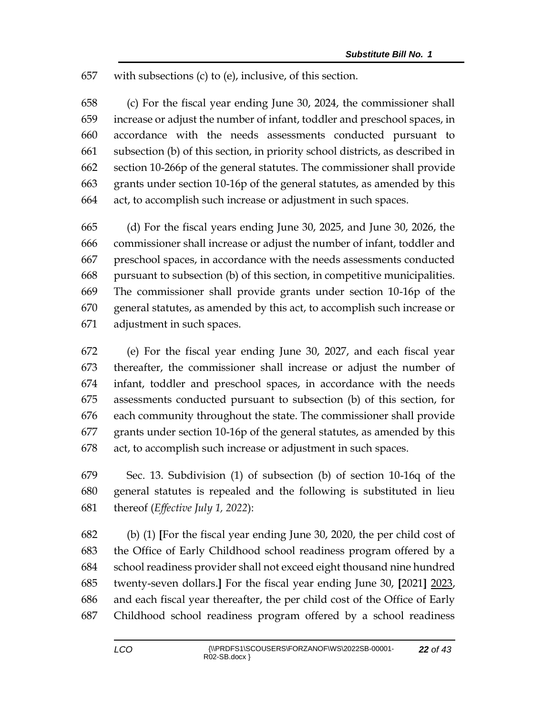with subsections (c) to (e), inclusive, of this section.

 (c) For the fiscal year ending June 30, 2024, the commissioner shall increase or adjust the number of infant, toddler and preschool spaces, in accordance with the needs assessments conducted pursuant to subsection (b) of this section, in priority school districts, as described in section 10-266p of the general statutes. The commissioner shall provide grants under section 10-16p of the general statutes, as amended by this act, to accomplish such increase or adjustment in such spaces.

 (d) For the fiscal years ending June 30, 2025, and June 30, 2026, the commissioner shall increase or adjust the number of infant, toddler and preschool spaces, in accordance with the needs assessments conducted pursuant to subsection (b) of this section, in competitive municipalities. The commissioner shall provide grants under section 10-16p of the general statutes, as amended by this act, to accomplish such increase or adjustment in such spaces.

 (e) For the fiscal year ending June 30, 2027, and each fiscal year thereafter, the commissioner shall increase or adjust the number of infant, toddler and preschool spaces, in accordance with the needs assessments conducted pursuant to subsection (b) of this section, for each community throughout the state. The commissioner shall provide grants under section 10-16p of the general statutes, as amended by this act, to accomplish such increase or adjustment in such spaces.

 Sec. 13. Subdivision (1) of subsection (b) of section 10-16q of the general statutes is repealed and the following is substituted in lieu thereof (*Effective July 1, 2022*):

 (b) (1) **[**For the fiscal year ending June 30, 2020, the per child cost of the Office of Early Childhood school readiness program offered by a school readiness provider shall not exceed eight thousand nine hundred twenty-seven dollars.**]** For the fiscal year ending June 30, **[**2021**]** 2023, and each fiscal year thereafter, the per child cost of the Office of Early Childhood school readiness program offered by a school readiness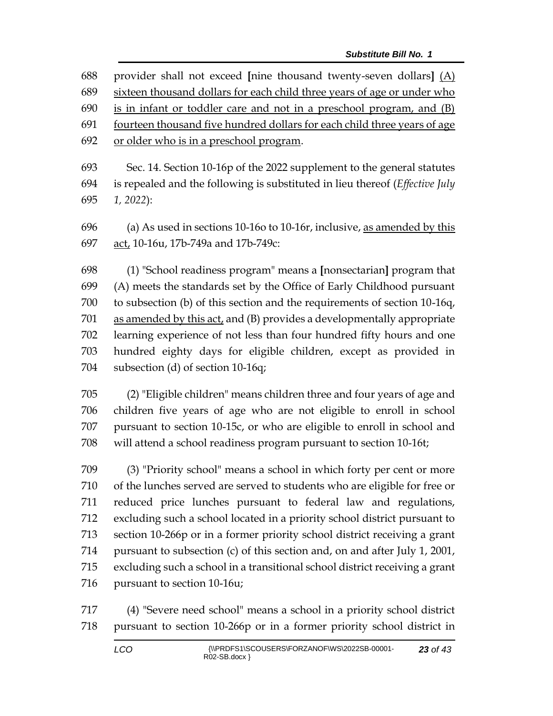| 688 | provider shall not exceed [nine thousand twenty-seven dollars] $(A)$     |
|-----|--------------------------------------------------------------------------|
| 689 | sixteen thousand dollars for each child three years of age or under who  |
| 690 | is in infant or toddler care and not in a preschool program, and (B)     |
| 691 | fourteen thousand five hundred dollars for each child three years of age |
| 692 | or older who is in a preschool program.                                  |
| 693 | Sec. 14. Section 10-16p of the 2022 supplement to the general statutes   |

 is repealed and the following is substituted in lieu thereof (*Effective July 1, 2022*):

 (a) As used in sections 10-16o to 10-16r, inclusive, as amended by this act, 10-16u, 17b-749a and 17b-749c:

 (1) "School readiness program" means a **[**nonsectarian**]** program that (A) meets the standards set by the Office of Early Childhood pursuant to subsection (b) of this section and the requirements of section 10-16q, as amended by this act, and (B) provides a developmentally appropriate learning experience of not less than four hundred fifty hours and one hundred eighty days for eligible children, except as provided in subsection (d) of section 10-16q;

 (2) "Eligible children" means children three and four years of age and children five years of age who are not eligible to enroll in school pursuant to section 10-15c, or who are eligible to enroll in school and will attend a school readiness program pursuant to section 10-16t;

 (3) "Priority school" means a school in which forty per cent or more of the lunches served are served to students who are eligible for free or reduced price lunches pursuant to federal law and regulations, excluding such a school located in a priority school district pursuant to section 10-266p or in a former priority school district receiving a grant pursuant to subsection (c) of this section and, on and after July 1, 2001, excluding such a school in a transitional school district receiving a grant pursuant to section 10-16u;

 (4) "Severe need school" means a school in a priority school district pursuant to section 10-266p or in a former priority school district in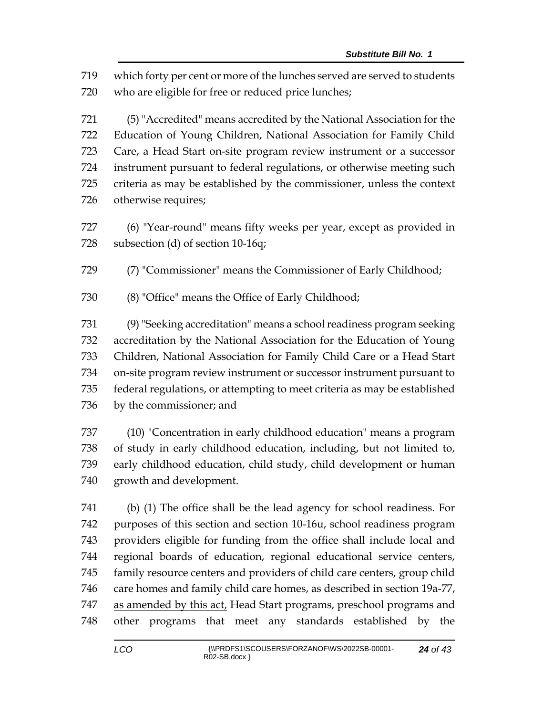which forty per cent or more of the lunches served are served to students who are eligible for free or reduced price lunches;

 (5) "Accredited" means accredited by the National Association for the Education of Young Children, National Association for Family Child Care, a Head Start on-site program review instrument or a successor instrument pursuant to federal regulations, or otherwise meeting such criteria as may be established by the commissioner, unless the context otherwise requires;

 (6) "Year-round" means fifty weeks per year, except as provided in subsection (d) of section 10-16q;

(7) "Commissioner" means the Commissioner of Early Childhood;

(8) "Office" means the Office of Early Childhood;

 (9) "Seeking accreditation" means a school readiness program seeking accreditation by the National Association for the Education of Young Children, National Association for Family Child Care or a Head Start on-site program review instrument or successor instrument pursuant to federal regulations, or attempting to meet criteria as may be established by the commissioner; and

 (10) "Concentration in early childhood education" means a program of study in early childhood education, including, but not limited to, early childhood education, child study, child development or human growth and development.

 (b) (1) The office shall be the lead agency for school readiness. For purposes of this section and section 10-16u, school readiness program providers eligible for funding from the office shall include local and regional boards of education, regional educational service centers, family resource centers and providers of child care centers, group child care homes and family child care homes, as described in section 19a-77, 747 as amended by this act, Head Start programs, preschool programs and other programs that meet any standards established by the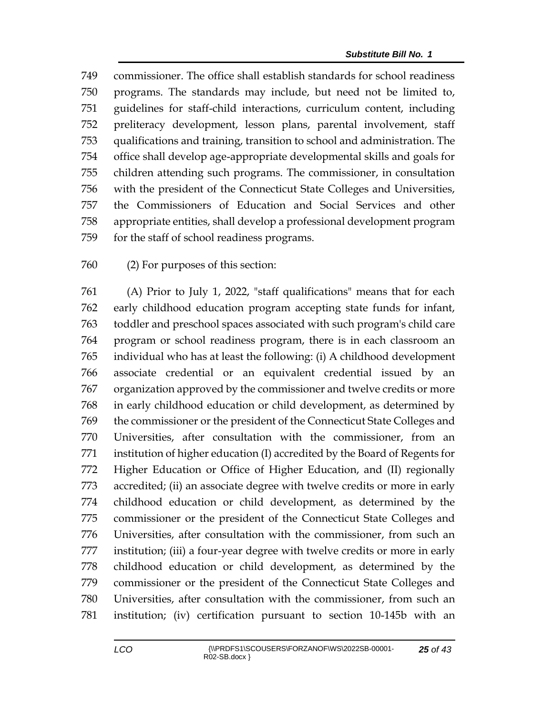commissioner. The office shall establish standards for school readiness programs. The standards may include, but need not be limited to, guidelines for staff-child interactions, curriculum content, including preliteracy development, lesson plans, parental involvement, staff qualifications and training, transition to school and administration. The office shall develop age-appropriate developmental skills and goals for children attending such programs. The commissioner, in consultation with the president of the Connecticut State Colleges and Universities, the Commissioners of Education and Social Services and other appropriate entities, shall develop a professional development program for the staff of school readiness programs.

(2) For purposes of this section:

 (A) Prior to July 1, 2022, "staff qualifications" means that for each early childhood education program accepting state funds for infant, toddler and preschool spaces associated with such program's child care program or school readiness program, there is in each classroom an individual who has at least the following: (i) A childhood development associate credential or an equivalent credential issued by an organization approved by the commissioner and twelve credits or more in early childhood education or child development, as determined by the commissioner or the president of the Connecticut State Colleges and Universities, after consultation with the commissioner, from an institution of higher education (I) accredited by the Board of Regents for Higher Education or Office of Higher Education, and (II) regionally accredited; (ii) an associate degree with twelve credits or more in early childhood education or child development, as determined by the commissioner or the president of the Connecticut State Colleges and Universities, after consultation with the commissioner, from such an institution; (iii) a four-year degree with twelve credits or more in early childhood education or child development, as determined by the commissioner or the president of the Connecticut State Colleges and Universities, after consultation with the commissioner, from such an institution; (iv) certification pursuant to section 10-145b with an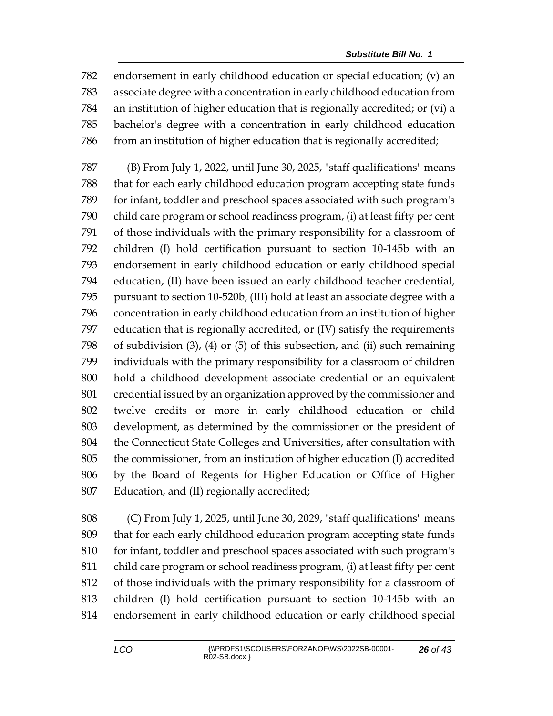endorsement in early childhood education or special education; (v) an associate degree with a concentration in early childhood education from an institution of higher education that is regionally accredited; or (vi) a bachelor's degree with a concentration in early childhood education from an institution of higher education that is regionally accredited;

 (B) From July 1, 2022, until June 30, 2025, "staff qualifications" means that for each early childhood education program accepting state funds for infant, toddler and preschool spaces associated with such program's child care program or school readiness program, (i) at least fifty per cent of those individuals with the primary responsibility for a classroom of children (I) hold certification pursuant to section 10-145b with an endorsement in early childhood education or early childhood special education, (II) have been issued an early childhood teacher credential, pursuant to section 10-520b, (III) hold at least an associate degree with a concentration in early childhood education from an institution of higher education that is regionally accredited, or (IV) satisfy the requirements of subdivision (3), (4) or (5) of this subsection, and (ii) such remaining individuals with the primary responsibility for a classroom of children hold a childhood development associate credential or an equivalent credential issued by an organization approved by the commissioner and twelve credits or more in early childhood education or child development, as determined by the commissioner or the president of the Connecticut State Colleges and Universities, after consultation with the commissioner, from an institution of higher education (I) accredited by the Board of Regents for Higher Education or Office of Higher Education, and (II) regionally accredited;

 (C) From July 1, 2025, until June 30, 2029, "staff qualifications" means that for each early childhood education program accepting state funds 810 for infant, toddler and preschool spaces associated with such program's child care program or school readiness program, (i) at least fifty per cent of those individuals with the primary responsibility for a classroom of children (I) hold certification pursuant to section 10-145b with an endorsement in early childhood education or early childhood special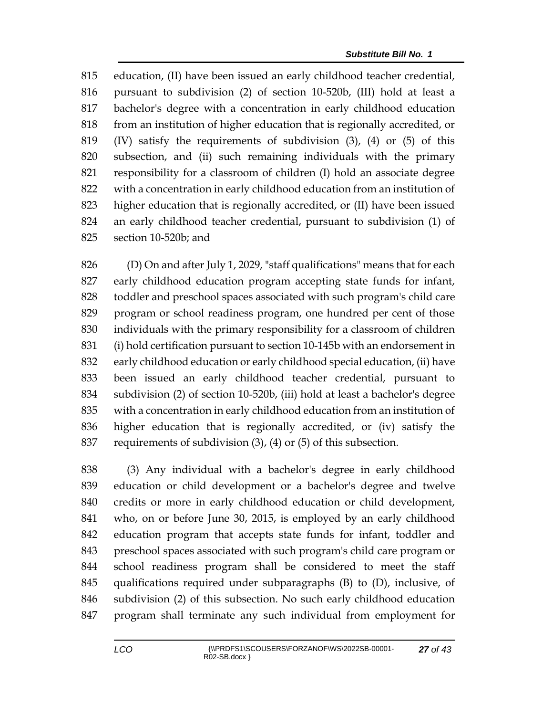education, (II) have been issued an early childhood teacher credential, pursuant to subdivision (2) of section 10-520b, (III) hold at least a bachelor's degree with a concentration in early childhood education from an institution of higher education that is regionally accredited, or (IV) satisfy the requirements of subdivision (3), (4) or (5) of this subsection, and (ii) such remaining individuals with the primary responsibility for a classroom of children (I) hold an associate degree with a concentration in early childhood education from an institution of higher education that is regionally accredited, or (II) have been issued an early childhood teacher credential, pursuant to subdivision (1) of section 10-520b; and

 (D) On and after July 1, 2029, "staff qualifications" means that for each early childhood education program accepting state funds for infant, toddler and preschool spaces associated with such program's child care program or school readiness program, one hundred per cent of those individuals with the primary responsibility for a classroom of children (i) hold certification pursuant to section 10-145b with an endorsement in early childhood education or early childhood special education, (ii) have been issued an early childhood teacher credential, pursuant to subdivision (2) of section 10-520b, (iii) hold at least a bachelor's degree with a concentration in early childhood education from an institution of higher education that is regionally accredited, or (iv) satisfy the requirements of subdivision (3), (4) or (5) of this subsection.

 (3) Any individual with a bachelor's degree in early childhood education or child development or a bachelor's degree and twelve credits or more in early childhood education or child development, who, on or before June 30, 2015, is employed by an early childhood education program that accepts state funds for infant, toddler and preschool spaces associated with such program's child care program or school readiness program shall be considered to meet the staff qualifications required under subparagraphs (B) to (D), inclusive, of subdivision (2) of this subsection. No such early childhood education program shall terminate any such individual from employment for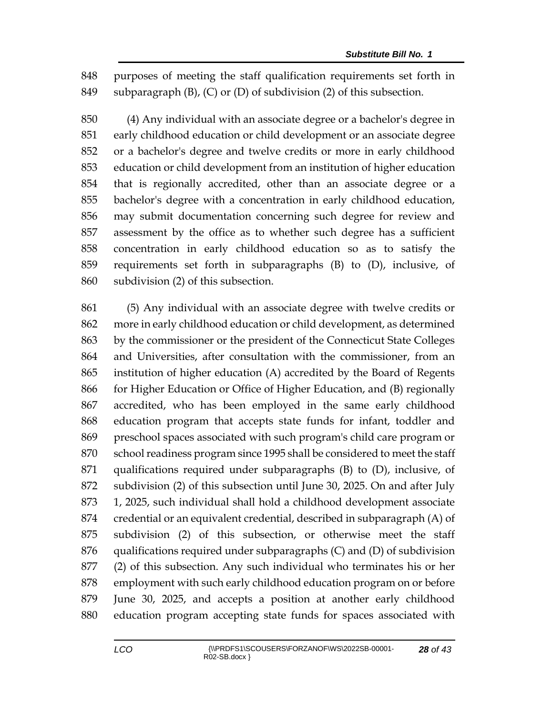purposes of meeting the staff qualification requirements set forth in subparagraph (B), (C) or (D) of subdivision (2) of this subsection.

 (4) Any individual with an associate degree or a bachelor's degree in early childhood education or child development or an associate degree or a bachelor's degree and twelve credits or more in early childhood education or child development from an institution of higher education that is regionally accredited, other than an associate degree or a bachelor's degree with a concentration in early childhood education, may submit documentation concerning such degree for review and assessment by the office as to whether such degree has a sufficient concentration in early childhood education so as to satisfy the requirements set forth in subparagraphs (B) to (D), inclusive, of subdivision (2) of this subsection.

 (5) Any individual with an associate degree with twelve credits or more in early childhood education or child development, as determined by the commissioner or the president of the Connecticut State Colleges and Universities, after consultation with the commissioner, from an institution of higher education (A) accredited by the Board of Regents for Higher Education or Office of Higher Education, and (B) regionally accredited, who has been employed in the same early childhood education program that accepts state funds for infant, toddler and preschool spaces associated with such program's child care program or school readiness program since 1995 shall be considered to meet the staff qualifications required under subparagraphs (B) to (D), inclusive, of subdivision (2) of this subsection until June 30, 2025. On and after July 1, 2025, such individual shall hold a childhood development associate credential or an equivalent credential, described in subparagraph (A) of subdivision (2) of this subsection, or otherwise meet the staff qualifications required under subparagraphs (C) and (D) of subdivision (2) of this subsection. Any such individual who terminates his or her employment with such early childhood education program on or before June 30, 2025, and accepts a position at another early childhood education program accepting state funds for spaces associated with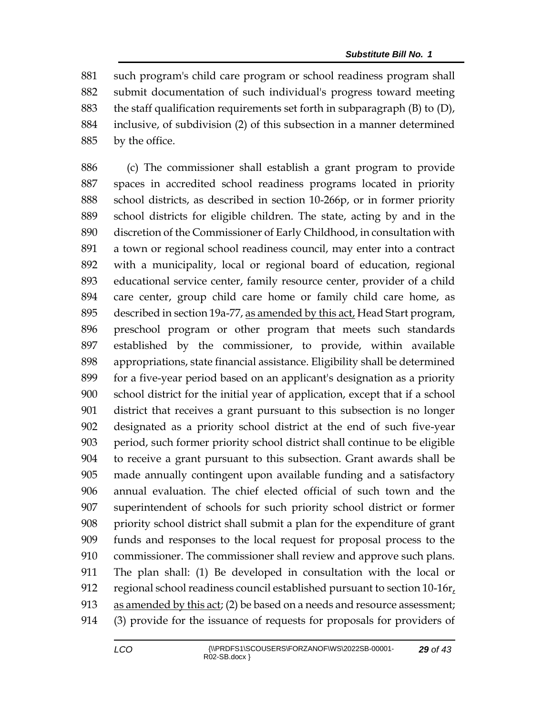such program's child care program or school readiness program shall submit documentation of such individual's progress toward meeting 883 the staff qualification requirements set forth in subparagraph  $(B)$  to  $(D)$ , inclusive, of subdivision (2) of this subsection in a manner determined by the office.

 (c) The commissioner shall establish a grant program to provide spaces in accredited school readiness programs located in priority school districts, as described in section 10-266p, or in former priority school districts for eligible children. The state, acting by and in the discretion of the Commissioner of Early Childhood, in consultation with a town or regional school readiness council, may enter into a contract with a municipality, local or regional board of education, regional educational service center, family resource center, provider of a child care center, group child care home or family child care home, as described in section 19a-77, as amended by this act, Head Start program, preschool program or other program that meets such standards established by the commissioner, to provide, within available appropriations, state financial assistance. Eligibility shall be determined for a five-year period based on an applicant's designation as a priority school district for the initial year of application, except that if a school district that receives a grant pursuant to this subsection is no longer designated as a priority school district at the end of such five-year period, such former priority school district shall continue to be eligible to receive a grant pursuant to this subsection. Grant awards shall be made annually contingent upon available funding and a satisfactory annual evaluation. The chief elected official of such town and the superintendent of schools for such priority school district or former priority school district shall submit a plan for the expenditure of grant funds and responses to the local request for proposal process to the commissioner. The commissioner shall review and approve such plans. The plan shall: (1) Be developed in consultation with the local or regional school readiness council established pursuant to section 10-16r, 913 as amended by this act; (2) be based on a needs and resource assessment; (3) provide for the issuance of requests for proposals for providers of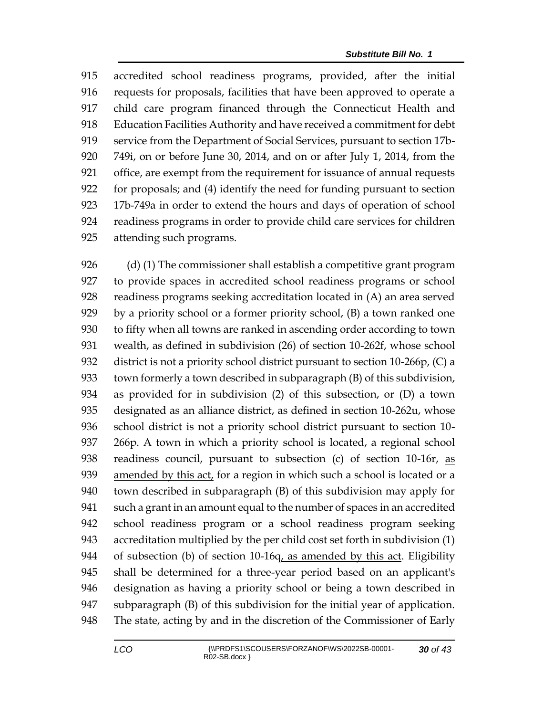accredited school readiness programs, provided, after the initial requests for proposals, facilities that have been approved to operate a child care program financed through the Connecticut Health and Education Facilities Authority and have received a commitment for debt service from the Department of Social Services, pursuant to section 17b- 749i, on or before June 30, 2014, and on or after July 1, 2014, from the office, are exempt from the requirement for issuance of annual requests for proposals; and (4) identify the need for funding pursuant to section 17b-749a in order to extend the hours and days of operation of school readiness programs in order to provide child care services for children attending such programs.

 (d) (1) The commissioner shall establish a competitive grant program to provide spaces in accredited school readiness programs or school readiness programs seeking accreditation located in (A) an area served by a priority school or a former priority school, (B) a town ranked one to fifty when all towns are ranked in ascending order according to town wealth, as defined in subdivision (26) of section 10-262f, whose school district is not a priority school district pursuant to section 10-266p, (C) a town formerly a town described in subparagraph (B) of this subdivision, as provided for in subdivision (2) of this subsection, or (D) a town designated as an alliance district, as defined in section 10-262u, whose school district is not a priority school district pursuant to section 10- 266p. A town in which a priority school is located, a regional school readiness council, pursuant to subsection (c) of section 10-16r, as amended by this act, for a region in which such a school is located or a town described in subparagraph (B) of this subdivision may apply for such a grant in an amount equal to the number of spaces in an accredited school readiness program or a school readiness program seeking accreditation multiplied by the per child cost set forth in subdivision (1) 944 of subsection (b) of section 10-16q, as amended by this act. Eligibility shall be determined for a three-year period based on an applicant's designation as having a priority school or being a town described in subparagraph (B) of this subdivision for the initial year of application. The state, acting by and in the discretion of the Commissioner of Early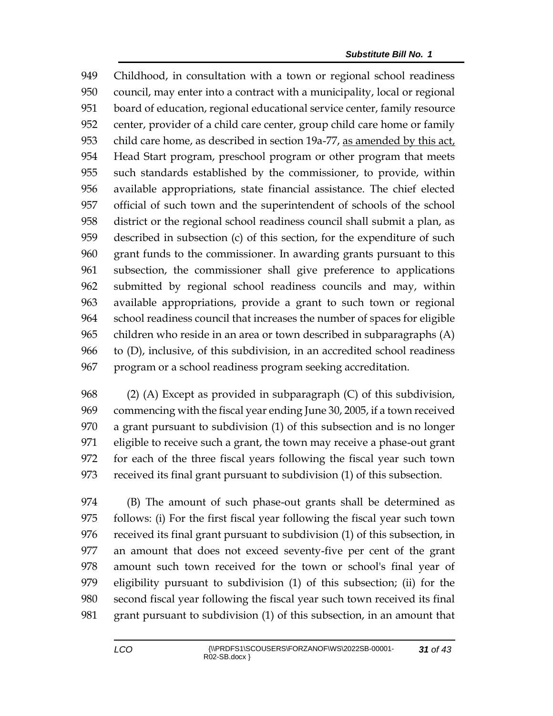Childhood, in consultation with a town or regional school readiness council, may enter into a contract with a municipality, local or regional board of education, regional educational service center, family resource center, provider of a child care center, group child care home or family 953 child care home, as described in section 19a-77, as amended by this act, Head Start program, preschool program or other program that meets such standards established by the commissioner, to provide, within available appropriations, state financial assistance. The chief elected official of such town and the superintendent of schools of the school district or the regional school readiness council shall submit a plan, as described in subsection (c) of this section, for the expenditure of such grant funds to the commissioner. In awarding grants pursuant to this subsection, the commissioner shall give preference to applications submitted by regional school readiness councils and may, within available appropriations, provide a grant to such town or regional school readiness council that increases the number of spaces for eligible children who reside in an area or town described in subparagraphs (A) to (D), inclusive, of this subdivision, in an accredited school readiness program or a school readiness program seeking accreditation.

 (2) (A) Except as provided in subparagraph (C) of this subdivision, commencing with the fiscal year ending June 30, 2005, if a town received a grant pursuant to subdivision (1) of this subsection and is no longer eligible to receive such a grant, the town may receive a phase-out grant for each of the three fiscal years following the fiscal year such town received its final grant pursuant to subdivision (1) of this subsection.

 (B) The amount of such phase-out grants shall be determined as follows: (i) For the first fiscal year following the fiscal year such town received its final grant pursuant to subdivision (1) of this subsection, in an amount that does not exceed seventy-five per cent of the grant amount such town received for the town or school's final year of eligibility pursuant to subdivision (1) of this subsection; (ii) for the second fiscal year following the fiscal year such town received its final grant pursuant to subdivision (1) of this subsection, in an amount that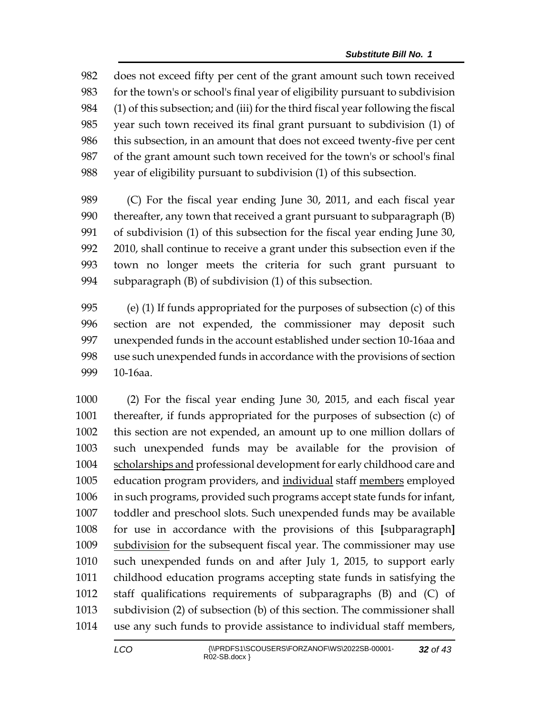does not exceed fifty per cent of the grant amount such town received for the town's or school's final year of eligibility pursuant to subdivision (1) of this subsection; and (iii) for the third fiscal year following the fiscal year such town received its final grant pursuant to subdivision (1) of this subsection, in an amount that does not exceed twenty-five per cent of the grant amount such town received for the town's or school's final year of eligibility pursuant to subdivision (1) of this subsection.

 (C) For the fiscal year ending June 30, 2011, and each fiscal year thereafter, any town that received a grant pursuant to subparagraph (B) of subdivision (1) of this subsection for the fiscal year ending June 30, 2010, shall continue to receive a grant under this subsection even if the town no longer meets the criteria for such grant pursuant to subparagraph (B) of subdivision (1) of this subsection.

 (e) (1) If funds appropriated for the purposes of subsection (c) of this section are not expended, the commissioner may deposit such unexpended funds in the account established under section 10-16aa and use such unexpended funds in accordance with the provisions of section 10-16aa.

 (2) For the fiscal year ending June 30, 2015, and each fiscal year thereafter, if funds appropriated for the purposes of subsection (c) of this section are not expended, an amount up to one million dollars of such unexpended funds may be available for the provision of scholarships and professional development for early childhood care and education program providers, and individual staff members employed in such programs, provided such programs accept state funds for infant, toddler and preschool slots. Such unexpended funds may be available for use in accordance with the provisions of this **[**subparagraph**]** 1009 subdivision for the subsequent fiscal year. The commissioner may use such unexpended funds on and after July 1, 2015, to support early childhood education programs accepting state funds in satisfying the staff qualifications requirements of subparagraphs (B) and (C) of subdivision (2) of subsection (b) of this section. The commissioner shall use any such funds to provide assistance to individual staff members,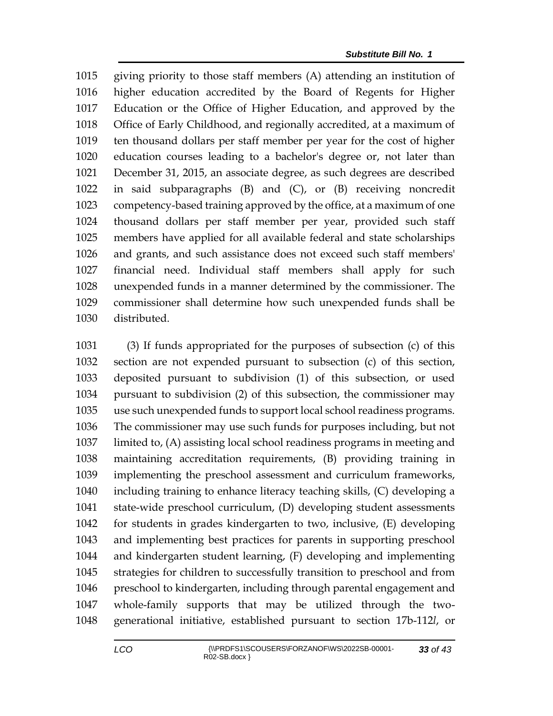giving priority to those staff members (A) attending an institution of higher education accredited by the Board of Regents for Higher Education or the Office of Higher Education, and approved by the Office of Early Childhood, and regionally accredited, at a maximum of ten thousand dollars per staff member per year for the cost of higher education courses leading to a bachelor's degree or, not later than December 31, 2015, an associate degree, as such degrees are described in said subparagraphs (B) and (C), or (B) receiving noncredit competency-based training approved by the office, at a maximum of one thousand dollars per staff member per year, provided such staff members have applied for all available federal and state scholarships and grants, and such assistance does not exceed such staff members' financial need. Individual staff members shall apply for such unexpended funds in a manner determined by the commissioner. The commissioner shall determine how such unexpended funds shall be distributed.

 (3) If funds appropriated for the purposes of subsection (c) of this section are not expended pursuant to subsection (c) of this section, deposited pursuant to subdivision (1) of this subsection, or used pursuant to subdivision (2) of this subsection, the commissioner may use such unexpended funds to support local school readiness programs. The commissioner may use such funds for purposes including, but not limited to, (A) assisting local school readiness programs in meeting and maintaining accreditation requirements, (B) providing training in implementing the preschool assessment and curriculum frameworks, including training to enhance literacy teaching skills, (C) developing a state-wide preschool curriculum, (D) developing student assessments for students in grades kindergarten to two, inclusive, (E) developing and implementing best practices for parents in supporting preschool and kindergarten student learning, (F) developing and implementing strategies for children to successfully transition to preschool and from preschool to kindergarten, including through parental engagement and whole-family supports that may be utilized through the two-generational initiative, established pursuant to section 17b-112*l*, or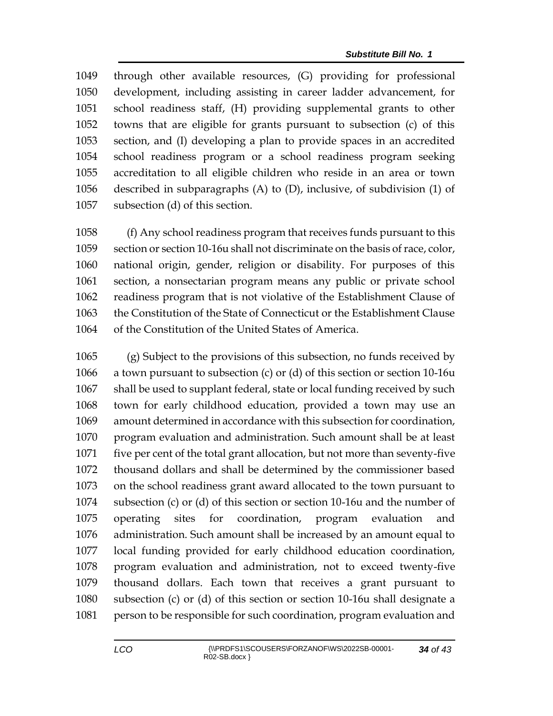through other available resources, (G) providing for professional development, including assisting in career ladder advancement, for school readiness staff, (H) providing supplemental grants to other towns that are eligible for grants pursuant to subsection (c) of this section, and (I) developing a plan to provide spaces in an accredited school readiness program or a school readiness program seeking accreditation to all eligible children who reside in an area or town described in subparagraphs (A) to (D), inclusive, of subdivision (1) of subsection (d) of this section.

 (f) Any school readiness program that receives funds pursuant to this section or section 10-16u shall not discriminate on the basis of race, color, national origin, gender, religion or disability. For purposes of this section, a nonsectarian program means any public or private school readiness program that is not violative of the Establishment Clause of the Constitution of the State of Connecticut or the Establishment Clause of the Constitution of the United States of America.

 (g) Subject to the provisions of this subsection, no funds received by a town pursuant to subsection (c) or (d) of this section or section 10-16u shall be used to supplant federal, state or local funding received by such town for early childhood education, provided a town may use an amount determined in accordance with this subsection for coordination, program evaluation and administration. Such amount shall be at least five per cent of the total grant allocation, but not more than seventy-five thousand dollars and shall be determined by the commissioner based on the school readiness grant award allocated to the town pursuant to subsection (c) or (d) of this section or section 10-16u and the number of operating sites for coordination, program evaluation and administration. Such amount shall be increased by an amount equal to local funding provided for early childhood education coordination, program evaluation and administration, not to exceed twenty-five thousand dollars. Each town that receives a grant pursuant to subsection (c) or (d) of this section or section 10-16u shall designate a person to be responsible for such coordination, program evaluation and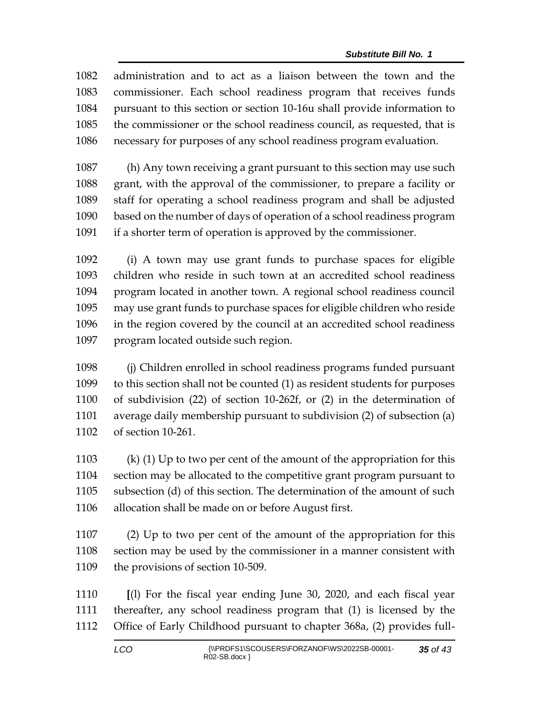administration and to act as a liaison between the town and the commissioner. Each school readiness program that receives funds pursuant to this section or section 10-16u shall provide information to the commissioner or the school readiness council, as requested, that is necessary for purposes of any school readiness program evaluation.

 (h) Any town receiving a grant pursuant to this section may use such grant, with the approval of the commissioner, to prepare a facility or staff for operating a school readiness program and shall be adjusted based on the number of days of operation of a school readiness program if a shorter term of operation is approved by the commissioner.

 (i) A town may use grant funds to purchase spaces for eligible children who reside in such town at an accredited school readiness program located in another town. A regional school readiness council may use grant funds to purchase spaces for eligible children who reside in the region covered by the council at an accredited school readiness program located outside such region.

 (j) Children enrolled in school readiness programs funded pursuant to this section shall not be counted (1) as resident students for purposes of subdivision (22) of section 10-262f, or (2) in the determination of average daily membership pursuant to subdivision (2) of subsection (a) of section 10-261.

 (k) (1) Up to two per cent of the amount of the appropriation for this section may be allocated to the competitive grant program pursuant to subsection (d) of this section. The determination of the amount of such allocation shall be made on or before August first.

 (2) Up to two per cent of the amount of the appropriation for this section may be used by the commissioner in a manner consistent with the provisions of section 10-509.

 **[**(l) For the fiscal year ending June 30, 2020, and each fiscal year thereafter, any school readiness program that (1) is licensed by the Office of Early Childhood pursuant to chapter 368a, (2) provides full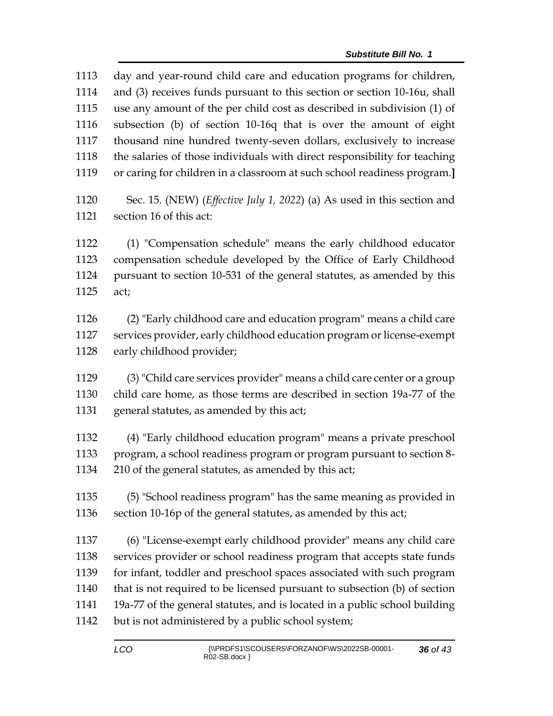day and year-round child care and education programs for children, and (3) receives funds pursuant to this section or section 10-16u, shall use any amount of the per child cost as described in subdivision (1) of subsection (b) of section 10-16q that is over the amount of eight thousand nine hundred twenty-seven dollars, exclusively to increase the salaries of those individuals with direct responsibility for teaching or caring for children in a classroom at such school readiness program.**]** Sec. 15. (NEW) (*Effective July 1, 2022*) (a) As used in this section and section 16 of this act: (1) "Compensation schedule" means the early childhood educator compensation schedule developed by the Office of Early Childhood pursuant to section 10-531 of the general statutes, as amended by this act; (2) "Early childhood care and education program" means a child care services provider, early childhood education program or license-exempt early childhood provider; (3) "Child care services provider" means a child care center or a group child care home, as those terms are described in section 19a-77 of the general statutes, as amended by this act; (4) "Early childhood education program" means a private preschool program, a school readiness program or program pursuant to section 8- 210 of the general statutes, as amended by this act; (5) "School readiness program" has the same meaning as provided in section 10-16p of the general statutes, as amended by this act; (6) "License-exempt early childhood provider" means any child care services provider or school readiness program that accepts state funds for infant, toddler and preschool spaces associated with such program that is not required to be licensed pursuant to subsection (b) of section 19a-77 of the general statutes, and is located in a public school building but is not administered by a public school system;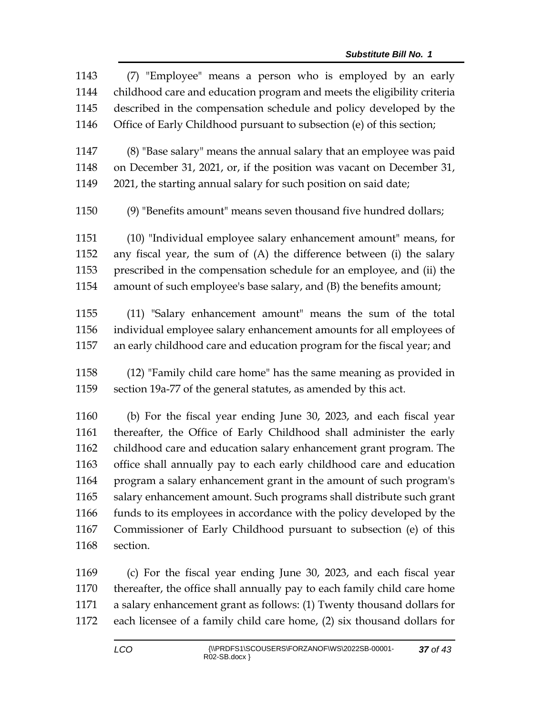| 1143 | (7) "Employee" means a person who is employed by an early               |
|------|-------------------------------------------------------------------------|
| 1144 | childhood care and education program and meets the eligibility criteria |
| 1145 | described in the compensation schedule and policy developed by the      |
| 1146 | Office of Early Childhood pursuant to subsection (e) of this section;   |
| 1147 | (8) "Base salary" means the annual salary that an employee was paid     |
| 1148 | on December 31, 2021, or, if the position was vacant on December 31,    |
| 1149 | 2021, the starting annual salary for such position on said date;        |
| 1150 | (9) "Benefits amount" means seven thousand five hundred dollars;        |
| 1151 | (10) "Individual employee salary enhancement amount" means, for         |
| 1152 | any fiscal year, the sum of (A) the difference between (i) the salary   |
| 1153 | prescribed in the compensation schedule for an employee, and (ii) the   |
| 1154 | amount of such employee's base salary, and (B) the benefits amount;     |
| 1155 | (11) "Salary enhancement amount" means the sum of the total             |
| 1156 | individual employee salary enhancement amounts for all employees of     |
| 1157 | an early childhood care and education program for the fiscal year; and  |
| 1158 | (12) "Family child care home" has the same meaning as provided in       |
| 1159 | section 19a-77 of the general statutes, as amended by this act.         |
| 1160 | (b) For the fiscal year ending June 30, 2023, and each fiscal year      |
| 1161 | thereafter, the Office of Early Childhood shall administer the early    |
| 1162 | childhood care and education salary enhancement grant program. The      |
| 1163 | office shall annually pay to each early childhood care and education    |
| 1164 | program a salary enhancement grant in the amount of such program's      |
| 1165 | salary enhancement amount. Such programs shall distribute such grant    |
| 1166 | funds to its employees in accordance with the policy developed by the   |
| 1167 | Commissioner of Early Childhood pursuant to subsection (e) of this      |
| 1168 | section.                                                                |
|      |                                                                         |

 (c) For the fiscal year ending June 30, 2023, and each fiscal year thereafter, the office shall annually pay to each family child care home a salary enhancement grant as follows: (1) Twenty thousand dollars for each licensee of a family child care home, (2) six thousand dollars for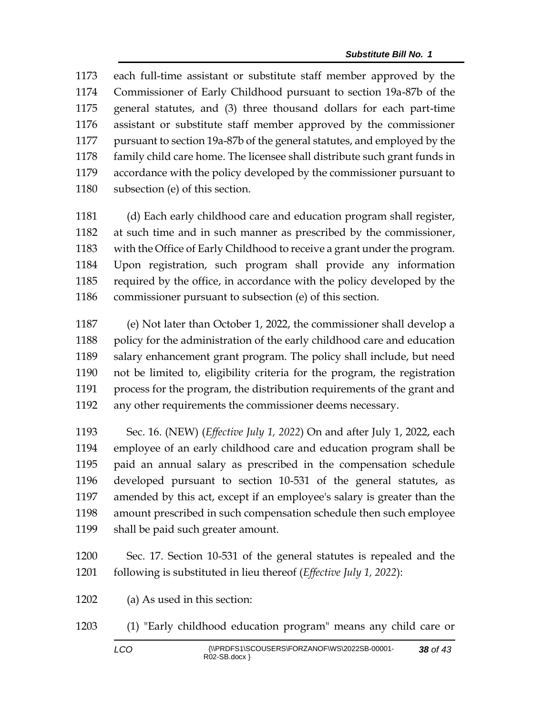each full-time assistant or substitute staff member approved by the Commissioner of Early Childhood pursuant to section 19a-87b of the general statutes, and (3) three thousand dollars for each part-time assistant or substitute staff member approved by the commissioner pursuant to section 19a-87b of the general statutes, and employed by the family child care home. The licensee shall distribute such grant funds in accordance with the policy developed by the commissioner pursuant to subsection (e) of this section.

 (d) Each early childhood care and education program shall register, at such time and in such manner as prescribed by the commissioner, with the Office of Early Childhood to receive a grant under the program. Upon registration, such program shall provide any information required by the office, in accordance with the policy developed by the commissioner pursuant to subsection (e) of this section.

 (e) Not later than October 1, 2022, the commissioner shall develop a 1188 policy for the administration of the early childhood care and education salary enhancement grant program. The policy shall include, but need not be limited to, eligibility criteria for the program, the registration process for the program, the distribution requirements of the grant and any other requirements the commissioner deems necessary.

 Sec. 16. (NEW) (*Effective July 1, 2022*) On and after July 1, 2022, each employee of an early childhood care and education program shall be paid an annual salary as prescribed in the compensation schedule developed pursuant to section 10-531 of the general statutes, as amended by this act, except if an employee's salary is greater than the amount prescribed in such compensation schedule then such employee shall be paid such greater amount.

 Sec. 17. Section 10-531 of the general statutes is repealed and the following is substituted in lieu thereof (*Effective July 1, 2022*):

(a) As used in this section:

(1) "Early childhood education program" means any child care or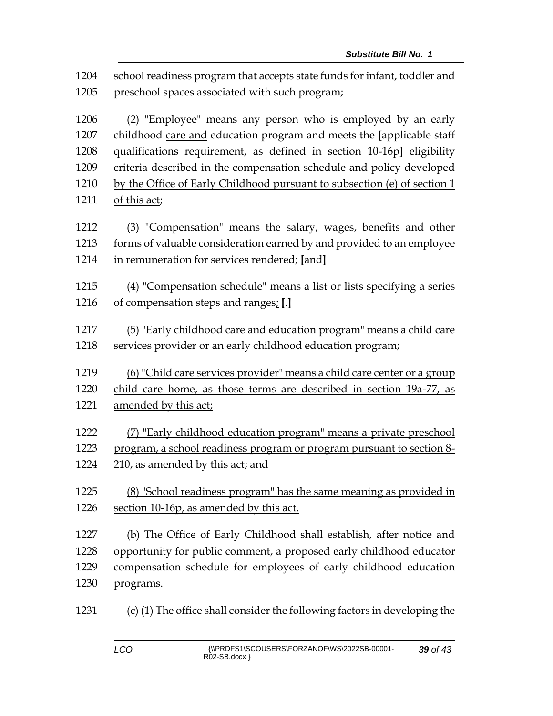school readiness program that accepts state funds for infant, toddler and preschool spaces associated with such program;

 (2) "Employee" means any person who is employed by an early childhood care and education program and meets the **[**applicable staff qualifications requirement, as defined in section 10-16p**]** eligibility criteria described in the compensation schedule and policy developed by the Office of Early Childhood pursuant to subsection (e) of section 1 1211 of this act;

 (3) "Compensation" means the salary, wages, benefits and other forms of valuable consideration earned by and provided to an employee in remuneration for services rendered; **[**and**]**

 (4) "Compensation schedule" means a list or lists specifying a series of compensation steps and ranges; **[**.**]**

 (5) "Early childhood care and education program" means a child care services provider or an early childhood education program;

(6) "Child care services provider" means a child care center or a group

child care home, as those terms are described in section 19a-77, as

- amended by this act;
- (7) "Early childhood education program" means a private preschool program, a school readiness program or program pursuant to section 8- 210, as amended by this act; and
- (8) "School readiness program" has the same meaning as provided in section 10-16p, as amended by this act.

 (b) The Office of Early Childhood shall establish, after notice and opportunity for public comment, a proposed early childhood educator compensation schedule for employees of early childhood education programs.

(c) (1) The office shall consider the following factors in developing the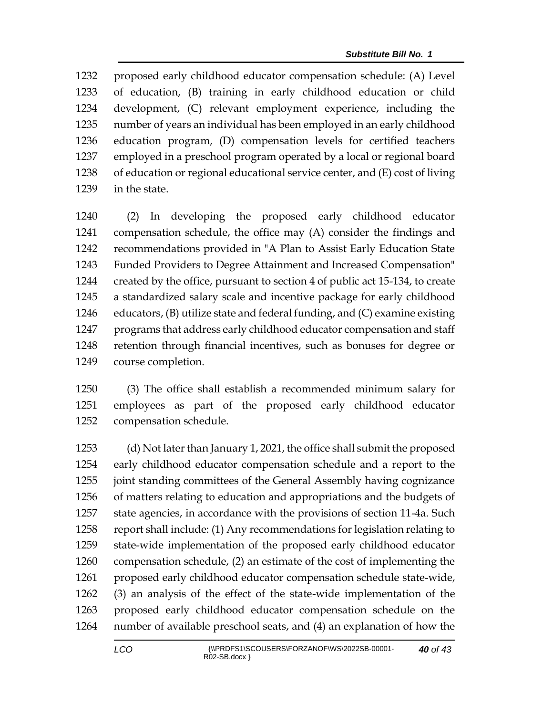proposed early childhood educator compensation schedule: (A) Level of education, (B) training in early childhood education or child development, (C) relevant employment experience, including the number of years an individual has been employed in an early childhood education program, (D) compensation levels for certified teachers employed in a preschool program operated by a local or regional board of education or regional educational service center, and (E) cost of living in the state.

 (2) In developing the proposed early childhood educator compensation schedule, the office may (A) consider the findings and recommendations provided in "A Plan to Assist Early Education State Funded Providers to Degree Attainment and Increased Compensation" created by the office, pursuant to section 4 of public act 15-134, to create a standardized salary scale and incentive package for early childhood educators, (B) utilize state and federal funding, and (C) examine existing programs that address early childhood educator compensation and staff retention through financial incentives, such as bonuses for degree or course completion.

 (3) The office shall establish a recommended minimum salary for employees as part of the proposed early childhood educator compensation schedule.

 (d) Not later than January 1, 2021, the office shall submit the proposed early childhood educator compensation schedule and a report to the joint standing committees of the General Assembly having cognizance of matters relating to education and appropriations and the budgets of state agencies, in accordance with the provisions of section 11-4a. Such report shall include: (1) Any recommendations for legislation relating to state-wide implementation of the proposed early childhood educator compensation schedule, (2) an estimate of the cost of implementing the proposed early childhood educator compensation schedule state-wide, (3) an analysis of the effect of the state-wide implementation of the proposed early childhood educator compensation schedule on the number of available preschool seats, and (4) an explanation of how the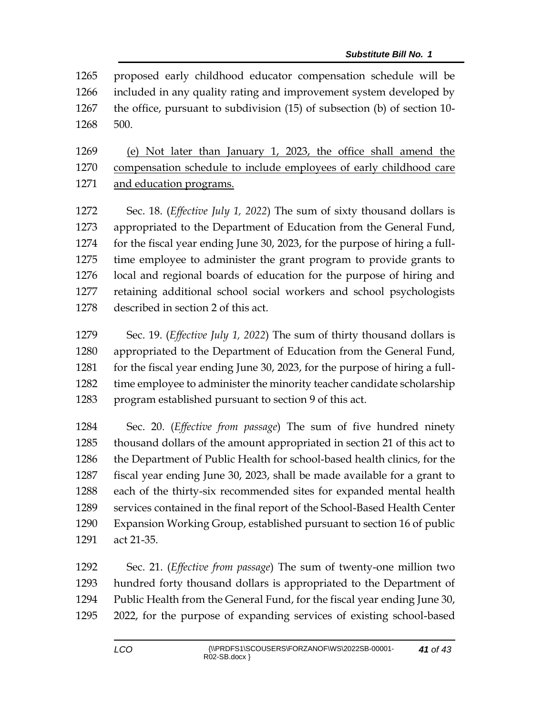proposed early childhood educator compensation schedule will be included in any quality rating and improvement system developed by the office, pursuant to subdivision (15) of subsection (b) of section 10- 500.

 (e) Not later than January 1, 2023, the office shall amend the compensation schedule to include employees of early childhood care and education programs.

 Sec. 18. (*Effective July 1, 2022*) The sum of sixty thousand dollars is appropriated to the Department of Education from the General Fund, for the fiscal year ending June 30, 2023, for the purpose of hiring a full- time employee to administer the grant program to provide grants to local and regional boards of education for the purpose of hiring and retaining additional school social workers and school psychologists described in section 2 of this act.

 Sec. 19. (*Effective July 1, 2022*) The sum of thirty thousand dollars is appropriated to the Department of Education from the General Fund, 1281 for the fiscal year ending June 30, 2023, for the purpose of hiring a full-1282 time employee to administer the minority teacher candidate scholarship program established pursuant to section 9 of this act.

 Sec. 20. (*Effective from passage*) The sum of five hundred ninety thousand dollars of the amount appropriated in section 21 of this act to the Department of Public Health for school-based health clinics, for the fiscal year ending June 30, 2023, shall be made available for a grant to each of the thirty-six recommended sites for expanded mental health services contained in the final report of the School-Based Health Center Expansion Working Group, established pursuant to section 16 of public act 21-35.

 Sec. 21. (*Effective from passage*) The sum of twenty-one million two hundred forty thousand dollars is appropriated to the Department of Public Health from the General Fund, for the fiscal year ending June 30, 2022, for the purpose of expanding services of existing school-based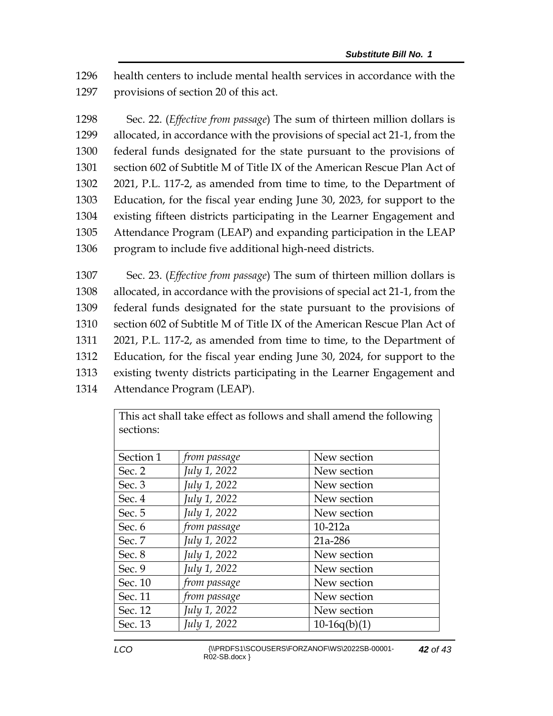1296 health centers to include mental health services in accordance with the 1297 provisions of section 20 of this act.

 Sec. 22. (*Effective from passage*) The sum of thirteen million dollars is allocated, in accordance with the provisions of special act 21-1, from the federal funds designated for the state pursuant to the provisions of section 602 of Subtitle M of Title IX of the American Rescue Plan Act of 2021, P.L. 117-2, as amended from time to time, to the Department of Education, for the fiscal year ending June 30, 2023, for support to the existing fifteen districts participating in the Learner Engagement and Attendance Program (LEAP) and expanding participation in the LEAP program to include five additional high-need districts.

 Sec. 23. (*Effective from passage*) The sum of thirteen million dollars is allocated, in accordance with the provisions of special act 21-1, from the federal funds designated for the state pursuant to the provisions of section 602 of Subtitle M of Title IX of the American Rescue Plan Act of 2021, P.L. 117-2, as amended from time to time, to the Department of Education, for the fiscal year ending June 30, 2024, for support to the existing twenty districts participating in the Learner Engagement and Attendance Program (LEAP).

> This act shall take effect as follows and shall amend the following sections:

| Section 1 | from passage | New section    |
|-----------|--------------|----------------|
| Sec. 2    | July 1, 2022 | New section    |
| Sec. 3    | July 1, 2022 | New section    |
| Sec. 4    | July 1, 2022 | New section    |
| Sec. 5    | July 1, 2022 | New section    |
| Sec. 6    | from passage | $10-212a$      |
| Sec. 7    | July 1, 2022 | 21a-286        |
| Sec. 8    | July 1, 2022 | New section    |
| Sec. 9    | July 1, 2022 | New section    |
| Sec. 10   | from passage | New section    |
| Sec. 11   | from passage | New section    |
| Sec. 12   | July 1, 2022 | New section    |
| Sec. 13   | July 1, 2022 | $10-16q(b)(1)$ |